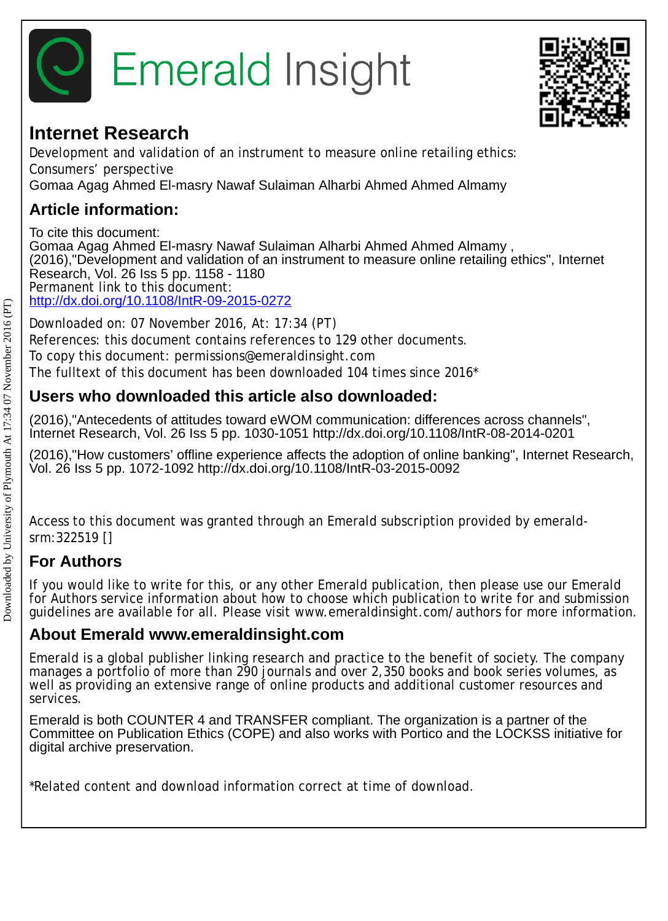



## **Internet Research**

Development and validation of an instrument to measure online retailing ethics: Consumers' perspective Gomaa Agag Ahmed El-masry Nawaf Sulaiman Alharbi Ahmed Ahmed Almamy

## **Article information:**

To cite this document: Gomaa Agag Ahmed El-masry Nawaf Sulaiman Alharbi Ahmed Ahmed Almamy , (2016),"Development and validation of an instrument to measure online retailing ethics", Internet Research, Vol. 26 Iss 5 pp. 1158 - 1180 Permanent link to this document: <http://dx.doi.org/10.1108/IntR-09-2015-0272>

Downloaded on: 07 November 2016, At: 17:34 (PT) References: this document contains references to 129 other documents. To copy this document: permissions@emeraldinsight.com The fulltext of this document has been downloaded 104 times since 2016\*

## **Users who downloaded this article also downloaded:**

(2016),"Antecedents of attitudes toward eWOM communication: differences across channels", Internet Research, Vol. 26 Iss 5 pp. 1030-1051 http://dx.doi.org/10.1108/IntR-08-2014-0201

(2016),"How customers' offline experience affects the adoption of online banking", Internet Research, Vol. 26 Iss 5 pp. 1072-1092 http://dx.doi.org/10.1108/IntR-03-2015-0092

Access to this document was granted through an Emerald subscription provided by emeraldsrm:322519 []

## **For Authors**

If you would like to write for this, or any other Emerald publication, then please use our Emerald for Authors service information about how to choose which publication to write for and submission guidelines are available for all. Please visit www.emeraldinsight.com/authors for more information.

## **About Emerald www.emeraldinsight.com**

Emerald is a global publisher linking research and practice to the benefit of society. The company manages a portfolio of more than 290 journals and over 2,350 books and book series volumes, as well as providing an extensive range of online products and additional customer resources and services.

Emerald is both COUNTER 4 and TRANSFER compliant. The organization is a partner of the Committee on Publication Ethics (COPE) and also works with Portico and the LOCKSS initiative for digital archive preservation.

\*Related content and download information correct at time of download.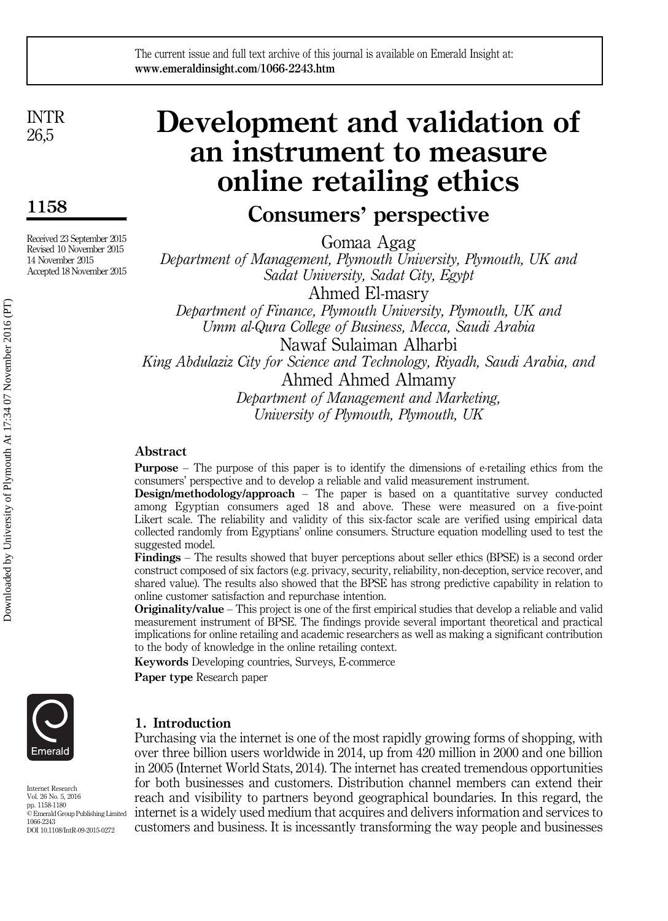INTR 26,5

1158

Received 23 September 2015 Revised 10 November 2015 14 November 2015 Accepted 18 November 2015

# Development and validation of an instrument to measure online retailing ethics

# Consumers' perspective

Gomaa Agag

Department of Management, Plymouth University, Plymouth, UK and Sadat University, Sadat City, Egypt

Ahmed El-masry Department of Finance, Plymouth University, Plymouth, UK and Umm al-Qura College of Business, Mecca, Saudi Arabia Nawaf Sulaiman Alharbi

King Abdulaziz City for Science and Technology, Riyadh, Saudi Arabia, and Ahmed Ahmed Almamy

Department of Management and Marketing, University of Plymouth, Plymouth, UK

### Abstract

Purpose – The purpose of this paper is to identify the dimensions of e-retailing ethics from the consumers' perspective and to develop a reliable and valid measurement instrument.

**Design/methodology/approach** – The paper is based on a quantitative survey conducted among Egyptian consumers aged 18 and above. These were measured on a five-point Likert scale. The reliability and validity of this six-factor scale are verified using empirical data collected randomly from Egyptians' online consumers. Structure equation modelling used to test the suggested model.

Findings – The results showed that buyer perceptions about seller ethics (BPSE) is a second order construct composed of six factors (e.g. privacy, security, reliability, non-deception, service recover, and shared value). The results also showed that the BPSE has strong predictive capability in relation to online customer satisfaction and repurchase intention.

Originality/value – This project is one of the first empirical studies that develop a reliable and valid measurement instrument of BPSE. The findings provide several important theoretical and practical implications for online retailing and academic researchers as well as making a significant contribution to the body of knowledge in the online retailing context.

Keywords Developing countries, Surveys, E-commerce

Paper type Research paper



#### 1. Introduction Purchasing via the internet is one of the most rapidly growing forms of shopping, with

Internet Research Vol. 26 No. 5, 2016 pp. 1158-1180 © Emerald Group Publishing Limited 1066-2243 DOI 10.1108/IntR-09-2015-0272

over three billion users worldwide in 2014, up from 420 million in 2000 and one billion in 2005 (Internet World Stats, 2014). The internet has created tremendous opportunities for both businesses and customers. Distribution channel members can extend their reach and visibility to partners beyond geographical boundaries. In this regard, the internet is a widely used medium that acquires and delivers information and services to customers and business. It is incessantly transforming the way people and businesses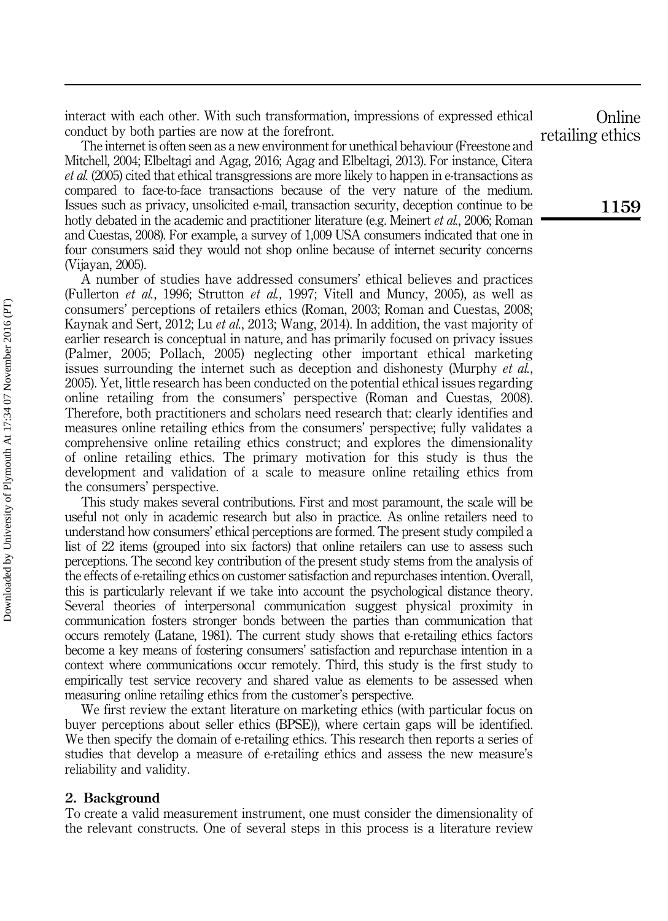interact with each other. With such transformation, impressions of expressed ethical conduct by both parties are now at the forefront.

The internet is often seen as a new environment for unethical behaviour (Freestone and Mitchell, 2004; Elbeltagi and Agag, 2016; Agag and Elbeltagi, 2013). For instance, Citera et al. (2005) cited that ethical transgressions are more likely to happen in e-transactions as compared to face-to-face transactions because of the very nature of the medium. Issues such as privacy, unsolicited e-mail, transaction security, deception continue to be hotly debated in the academic and practitioner literature (e.g. Meinert *et al.*, 2006; Roman and Cuestas, 2008). For example, a survey of 1,009 USA consumers indicated that one in four consumers said they would not shop online because of internet security concerns (Vijayan, 2005).

A number of studies have addressed consumers' ethical believes and practices (Fullerton et al., 1996; Strutton et al., 1997; Vitell and Muncy, 2005), as well as consumers' perceptions of retailers ethics (Roman, 2003; Roman and Cuestas, 2008; Kaynak and Sert, 2012; Lu et al., 2013; Wang, 2014). In addition, the vast majority of earlier research is conceptual in nature, and has primarily focused on privacy issues (Palmer, 2005; Pollach, 2005) neglecting other important ethical marketing issues surrounding the internet such as deception and dishonesty (Murphy *et al.*, 2005). Yet, little research has been conducted on the potential ethical issues regarding online retailing from the consumers' perspective (Roman and Cuestas, 2008). Therefore, both practitioners and scholars need research that: clearly identifies and measures online retailing ethics from the consumers' perspective; fully validates a comprehensive online retailing ethics construct; and explores the dimensionality of online retailing ethics. The primary motivation for this study is thus the development and validation of a scale to measure online retailing ethics from the consumers' perspective.

This study makes several contributions. First and most paramount, the scale will be useful not only in academic research but also in practice. As online retailers need to understand how consumers' ethical perceptions are formed. The present study compiled a list of 22 items (grouped into six factors) that online retailers can use to assess such perceptions. The second key contribution of the present study stems from the analysis of the effects of e-retailing ethics on customer satisfaction and repurchases intention. Overall, this is particularly relevant if we take into account the psychological distance theory. Several theories of interpersonal communication suggest physical proximity in communication fosters stronger bonds between the parties than communication that occurs remotely (Latane, 1981). The current study shows that e-retailing ethics factors become a key means of fostering consumers' satisfaction and repurchase intention in a context where communications occur remotely. Third, this study is the first study to empirically test service recovery and shared value as elements to be assessed when measuring online retailing ethics from the customer's perspective.

We first review the extant literature on marketing ethics (with particular focus on buyer perceptions about seller ethics (BPSE)), where certain gaps will be identified. We then specify the domain of e-retailing ethics. This research then reports a series of studies that develop a measure of e-retailing ethics and assess the new measure's reliability and validity.

#### 2. Background

To create a valid measurement instrument, one must consider the dimensionality of the relevant constructs. One of several steps in this process is a literature review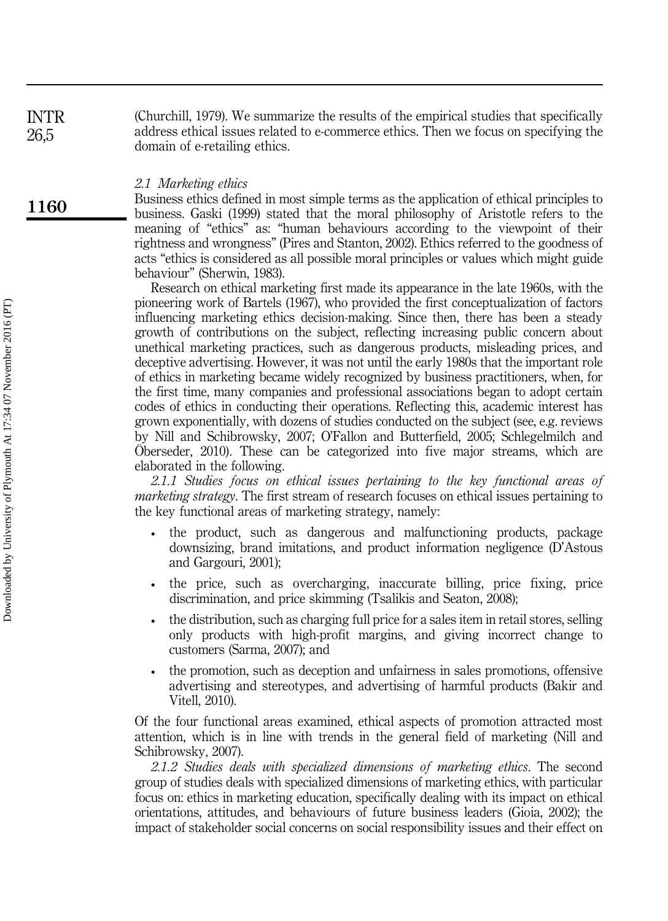(Churchill, 1979). We summarize the results of the empirical studies that specifically address ethical issues related to e-commerce ethics. Then we focus on specifying the domain of e-retailing ethics. INTR

#### 2.1 Marketing ethics

Business ethics defined in most simple terms as the application of ethical principles to business. Gaski (1999) stated that the moral philosophy of Aristotle refers to the meaning of "ethics" as: "human behaviours according to the viewpoint of their rightness and wrongness" (Pires and Stanton, 2002). Ethics referred to the goodness of acts "ethics is considered as all possible moral principles or values which might guide behaviour" (Sherwin, 1983).

Research on ethical marketing first made its appearance in the late 1960s, with the pioneering work of Bartels (1967), who provided the first conceptualization of factors influencing marketing ethics decision-making. Since then, there has been a steady growth of contributions on the subject, reflecting increasing public concern about unethical marketing practices, such as dangerous products, misleading prices, and deceptive advertising. However, it was not until the early 1980s that the important role of ethics in marketing became widely recognized by business practitioners, when, for the first time, many companies and professional associations began to adopt certain codes of ethics in conducting their operations. Reflecting this, academic interest has grown exponentially, with dozens of studies conducted on the subject (see, e.g. reviews by Nill and Schibrowsky, 2007; O'Fallon and Butterfield, 2005; Schlegelmilch and Öberseder, 2010). These can be categorized into five major streams, which are elaborated in the following.

2.1.1 Studies focus on ethical issues pertaining to the key functional areas of *marketing strategy*. The first stream of research focuses on ethical issues pertaining to the key functional areas of marketing strategy, namely:

- the product, such as dangerous and malfunctioning products, package downsizing, brand imitations, and product information negligence (D'Astous and Gargouri, 2001);
- the price, such as overcharging, inaccurate billing, price fixing, price discrimination, and price skimming (Tsalikis and Seaton, 2008);
- the distribution, such as charging full price for a sales item in retail stores, selling only products with high-profit margins, and giving incorrect change to customers (Sarma, 2007); and
- the promotion, such as deception and unfairness in sales promotions, offensive advertising and stereotypes, and advertising of harmful products (Bakir and Vitell, 2010).

Of the four functional areas examined, ethical aspects of promotion attracted most attention, which is in line with trends in the general field of marketing (Nill and Schibrowsky, 2007).

2.1.2 Studies deals with specialized dimensions of marketing ethics. The second group of studies deals with specialized dimensions of marketing ethics, with particular focus on: ethics in marketing education, specifically dealing with its impact on ethical orientations, attitudes, and behaviours of future business leaders (Gioia, 2002); the impact of stakeholder social concerns on social responsibility issues and their effect on

1160

26,5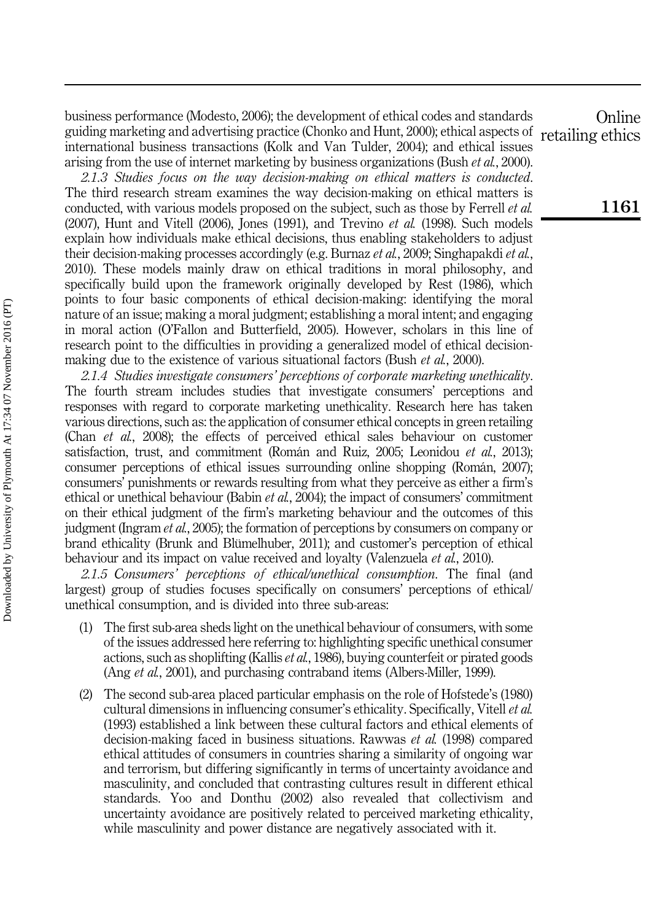business performance (Modesto, 2006); the development of ethical codes and standards guiding marketing and advertising practice (Chonko and Hunt, 2000); ethical aspects of international business transactions (Kolk and Van Tulder, 2004); and ethical issues arising from the use of internet marketing by business organizations (Bush et al., 2000).

2.1.3 Studies focus on the way decision-making on ethical matters is conducted. The third research stream examines the way decision-making on ethical matters is conducted, with various models proposed on the subject, such as those by Ferrell *et al.*  $(2007)$ , Hunt and Vitell  $(2006)$ , Jones  $(1991)$ , and Trevino *et al.*  $(1998)$ . Such models explain how individuals make ethical decisions, thus enabling stakeholders to adjust their decision-making processes accordingly (e.g. Burnaz *et al.*, 2009; Singhapakdi *et al.*, 2010). These models mainly draw on ethical traditions in moral philosophy, and specifically build upon the framework originally developed by Rest (1986), which points to four basic components of ethical decision-making: identifying the moral nature of an issue; making a moral judgment; establishing a moral intent; and engaging in moral action (O'Fallon and Butterfield, 2005). However, scholars in this line of research point to the difficulties in providing a generalized model of ethical decisionmaking due to the existence of various situational factors (Bush *et al.*, 2000).

2.1.4 Studies investigate consumers' perceptions of corporate marketing unethicality. The fourth stream includes studies that investigate consumers' perceptions and responses with regard to corporate marketing unethicality. Research here has taken various directions, such as: the application of consumer ethical concepts in green retailing (Chan et al., 2008); the effects of perceived ethical sales behaviour on customer satisfaction, trust, and commitment (Román and Ruiz, 2005; Leonidou *et al.*, 2013); consumer perceptions of ethical issues surrounding online shopping (Román, 2007); consumers' punishments or rewards resulting from what they perceive as either a firm's ethical or unethical behaviour (Babin et al., 2004); the impact of consumers' commitment on their ethical judgment of the firm's marketing behaviour and the outcomes of this judgment (Ingram *et al.*, 2005); the formation of perceptions by consumers on company or brand ethicality (Brunk and Blümelhuber, 2011); and customer's perception of ethical behaviour and its impact on value received and loyalty (Valenzuela *et al.*, 2010).

2.1.5 Consumers' perceptions of ethical/unethical consumption. The final (and largest) group of studies focuses specifically on consumers' perceptions of ethical/ unethical consumption, and is divided into three sub-areas:

- (1) The first sub-area sheds light on the unethical behaviour of consumers, with some of the issues addressed here referring to: highlighting specific unethical consumer actions, such as shoplifting (Kallis et al., 1986), buying counterfeit or pirated goods (Ang *et al.*, 2001), and purchasing contraband items (Albers-Miller, 1999).
- (2) The second sub-area placed particular emphasis on the role of Hofstede's (1980) cultural dimensions in influencing consumer's ethicality. Specifically, Vitell et al. (1993) established a link between these cultural factors and ethical elements of decision-making faced in business situations. Rawwas et al. (1998) compared ethical attitudes of consumers in countries sharing a similarity of ongoing war and terrorism, but differing significantly in terms of uncertainty avoidance and masculinity, and concluded that contrasting cultures result in different ethical standards. Yoo and Donthu (2002) also revealed that collectivism and uncertainty avoidance are positively related to perceived marketing ethicality, while masculinity and power distance are negatively associated with it.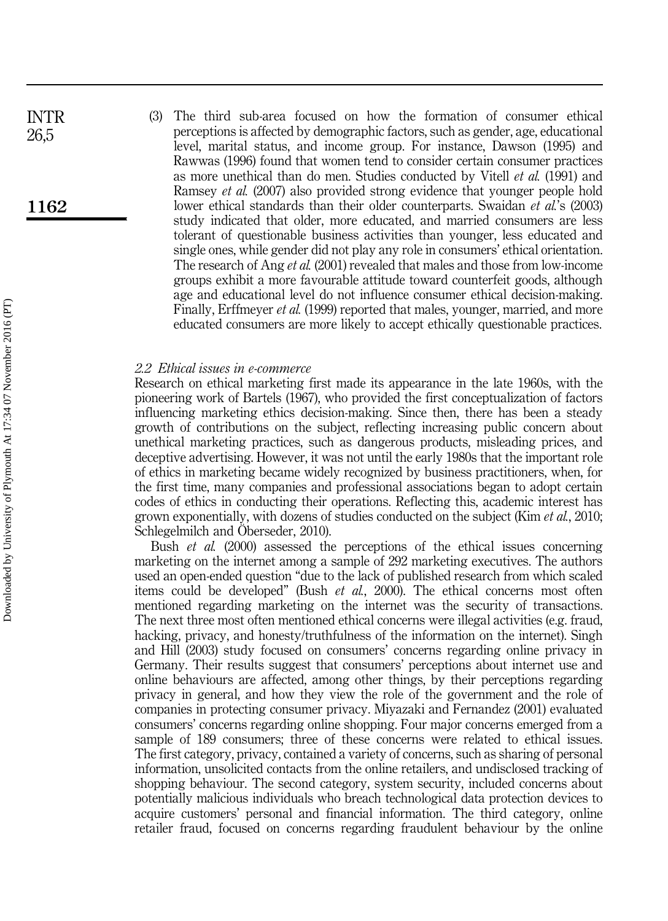(3) The third sub-area focused on how the formation of consumer ethical perceptions is affected by demographic factors, such as gender, age, educational level, marital status, and income group. For instance, Dawson (1995) and Rawwas (1996) found that women tend to consider certain consumer practices as more unethical than do men. Studies conducted by Vitell et al. (1991) and Ramsey et al. (2007) also provided strong evidence that younger people hold lower ethical standards than their older counterparts. Swaidan et al.'s (2003) study indicated that older, more educated, and married consumers are less tolerant of questionable business activities than younger, less educated and single ones, while gender did not play any role in consumers' ethical orientation. The research of Ang *et al.* (2001) revealed that males and those from low-income groups exhibit a more favourable attitude toward counterfeit goods, although age and educational level do not influence consumer ethical decision-making. Finally, Erffmeyer et al. (1999) reported that males, younger, married, and more educated consumers are more likely to accept ethically questionable practices.

#### 2.2 Ethical issues in e-commerce

Research on ethical marketing first made its appearance in the late 1960s, with the pioneering work of Bartels (1967), who provided the first conceptualization of factors influencing marketing ethics decision-making. Since then, there has been a steady growth of contributions on the subject, reflecting increasing public concern about unethical marketing practices, such as dangerous products, misleading prices, and deceptive advertising. However, it was not until the early 1980s that the important role of ethics in marketing became widely recognized by business practitioners, when, for the first time, many companies and professional associations began to adopt certain codes of ethics in conducting their operations. Reflecting this, academic interest has grown exponentially, with dozens of studies conducted on the subject (Kim et al., 2010; Schlegelmilch and Öberseder, 2010).

Bush *et al.* (2000) assessed the perceptions of the ethical issues concerning marketing on the internet among a sample of 292 marketing executives. The authors used an open-ended question "due to the lack of published research from which scaled items could be developed" (Bush et al., 2000). The ethical concerns most often mentioned regarding marketing on the internet was the security of transactions. The next three most often mentioned ethical concerns were illegal activities (e.g. fraud, hacking, privacy, and honesty/truthfulness of the information on the internet). Singh and Hill (2003) study focused on consumers' concerns regarding online privacy in Germany. Their results suggest that consumers' perceptions about internet use and online behaviours are affected, among other things, by their perceptions regarding privacy in general, and how they view the role of the government and the role of companies in protecting consumer privacy. Miyazaki and Fernandez (2001) evaluated consumers' concerns regarding online shopping. Four major concerns emerged from a sample of 189 consumers; three of these concerns were related to ethical issues. The first category, privacy, contained a variety of concerns, such as sharing of personal information, unsolicited contacts from the online retailers, and undisclosed tracking of shopping behaviour. The second category, system security, included concerns about potentially malicious individuals who breach technological data protection devices to acquire customers' personal and financial information. The third category, online retailer fraud, focused on concerns regarding fraudulent behaviour by the online

INTR 26,5

## 1162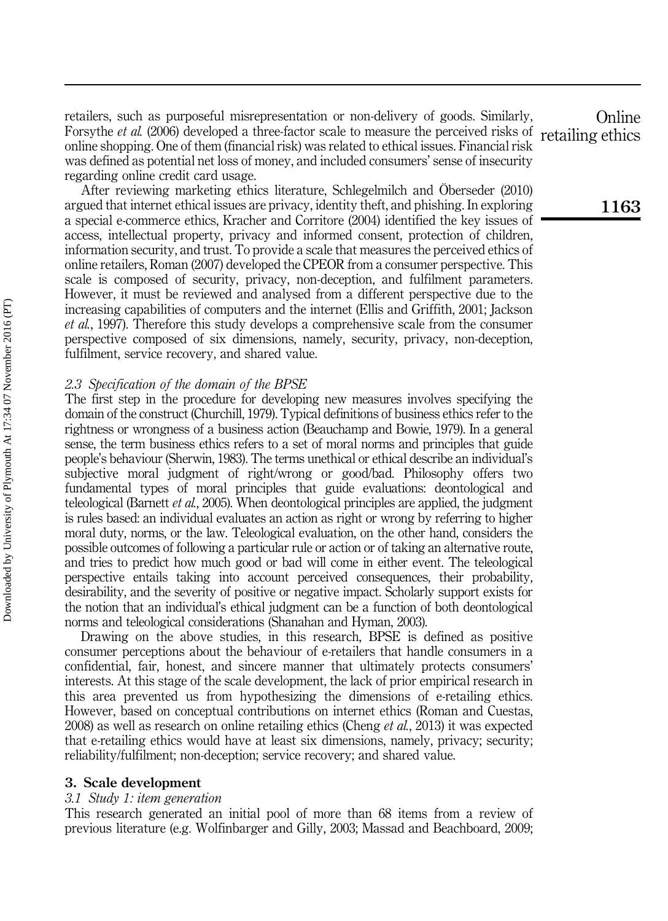retailers, such as purposeful misrepresentation or non-delivery of goods. Similarly, Forsythe *et al.* (2006) developed a three-factor scale to measure the perceived risks of online shopping. One of them (financial risk) was related to ethical issues. Financial risk was defined as potential net loss of money, and included consumers' sense of insecurity regarding online credit card usage.

After reviewing marketing ethics literature, Schlegelmilch and Öberseder (2010) argued that internet ethical issues are privacy, identity theft, and phishing. In exploring a special e-commerce ethics, Kracher and Corritore (2004) identified the key issues of access, intellectual property, privacy and informed consent, protection of children, information security, and trust. To provide a scale that measures the perceived ethics of online retailers, Roman (2007) developed the CPEOR from a consumer perspective. This scale is composed of security, privacy, non-deception, and fulfilment parameters. However, it must be reviewed and analysed from a different perspective due to the increasing capabilities of computers and the internet (Ellis and Griffith, 2001; Jackson et al., 1997). Therefore this study develops a comprehensive scale from the consumer perspective composed of six dimensions, namely, security, privacy, non-deception, fulfilment, service recovery, and shared value.

#### 2.3 Specification of the domain of the BPSE

The first step in the procedure for developing new measures involves specifying the domain of the construct (Churchill, 1979). Typical definitions of business ethics refer to the rightness or wrongness of a business action (Beauchamp and Bowie, 1979). In a general sense, the term business ethics refers to a set of moral norms and principles that guide people's behaviour (Sherwin, 1983). The terms unethical or ethical describe an individual's subjective moral judgment of right/wrong or good/bad. Philosophy offers two fundamental types of moral principles that guide evaluations: deontological and teleological (Barnett et al., 2005). When deontological principles are applied, the judgment is rules based: an individual evaluates an action as right or wrong by referring to higher moral duty, norms, or the law. Teleological evaluation, on the other hand, considers the possible outcomes of following a particular rule or action or of taking an alternative route, and tries to predict how much good or bad will come in either event. The teleological perspective entails taking into account perceived consequences, their probability, desirability, and the severity of positive or negative impact. Scholarly support exists for the notion that an individual's ethical judgment can be a function of both deontological norms and teleological considerations (Shanahan and Hyman, 2003).

Drawing on the above studies, in this research, BPSE is defined as positive consumer perceptions about the behaviour of e-retailers that handle consumers in a confidential, fair, honest, and sincere manner that ultimately protects consumers' interests. At this stage of the scale development, the lack of prior empirical research in this area prevented us from hypothesizing the dimensions of e-retailing ethics. However, based on conceptual contributions on internet ethics (Roman and Cuestas, 2008) as well as research on online retailing ethics (Cheng *et al.*, 2013) it was expected that e-retailing ethics would have at least six dimensions, namely, privacy; security; reliability/fulfilment; non-deception; service recovery; and shared value.

#### 3. Scale development

#### 3.1 Study 1: item generation

This research generated an initial pool of more than 68 items from a review of previous literature (e.g. Wolfinbarger and Gilly, 2003; Massad and Beachboard, 2009;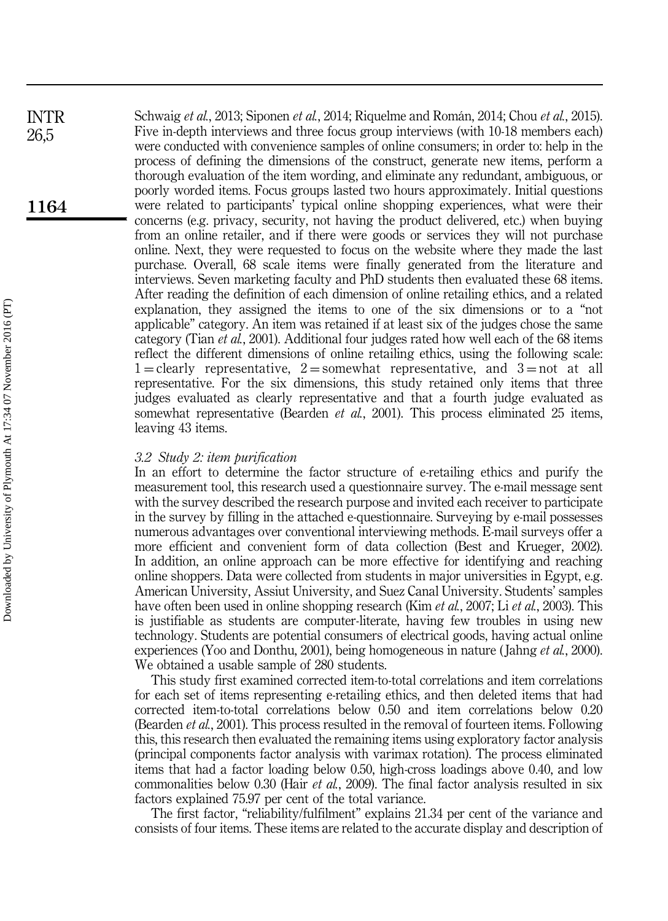Schwaig et al., 2013; Siponen et al., 2014; Riquelme and Román, 2014; Chou et al., 2015). Five in-depth interviews and three focus group interviews (with 10-18 members each) were conducted with convenience samples of online consumers; in order to: help in the process of defining the dimensions of the construct, generate new items, perform a thorough evaluation of the item wording, and eliminate any redundant, ambiguous, or poorly worded items. Focus groups lasted two hours approximately. Initial questions were related to participants' typical online shopping experiences, what were their concerns (e.g. privacy, security, not having the product delivered, etc.) when buying from an online retailer, and if there were goods or services they will not purchase online. Next, they were requested to focus on the website where they made the last purchase. Overall, 68 scale items were finally generated from the literature and interviews. Seven marketing faculty and PhD students then evaluated these 68 items. After reading the definition of each dimension of online retailing ethics, and a related explanation, they assigned the items to one of the six dimensions or to a "not applicable" category. An item was retained if at least six of the judges chose the same category (Tian et al., 2001). Additional four judges rated how well each of the 68 items reflect the different dimensions of online retailing ethics, using the following scale:  $1 =$ clearly representative,  $2 =$ somewhat representative, and  $3 =$ not at all representative. For the six dimensions, this study retained only items that three judges evaluated as clearly representative and that a fourth judge evaluated as somewhat representative (Bearden *et al.*, 2001). This process eliminated 25 items, leaving 43 items. 1164 INTR 26,5

#### 3.2 Study 2: item purification

In an effort to determine the factor structure of e-retailing ethics and purify the measurement tool, this research used a questionnaire survey. The e-mail message sent with the survey described the research purpose and invited each receiver to participate in the survey by filling in the attached e-questionnaire. Surveying by e-mail possesses numerous advantages over conventional interviewing methods. E-mail surveys offer a more efficient and convenient form of data collection (Best and Krueger, 2002). In addition, an online approach can be more effective for identifying and reaching online shoppers. Data were collected from students in major universities in Egypt, e.g. American University, Assiut University, and Suez Canal University. Students' samples have often been used in online shopping research (Kim *et al.*, 2007; Li *et al.*, 2003). This is justifiable as students are computer-literate, having few troubles in using new technology. Students are potential consumers of electrical goods, having actual online experiences (Yoo and Donthu, 2001), being homogeneous in nature ( Jahng et al., 2000). We obtained a usable sample of 280 students.

This study first examined corrected item-to-total correlations and item correlations for each set of items representing e-retailing ethics, and then deleted items that had corrected item-to-total correlations below 0.50 and item correlations below 0.20 (Bearden *et al.*, 2001). This process resulted in the removal of fourteen items. Following this, this research then evaluated the remaining items using exploratory factor analysis (principal components factor analysis with varimax rotation). The process eliminated items that had a factor loading below 0.50, high-cross loadings above 0.40, and low commonalities below 0.30 (Hair *et al.*, 2009). The final factor analysis resulted in six factors explained 75.97 per cent of the total variance.

The first factor, "reliability/fulfilment" explains 21.34 per cent of the variance and consists of four items. These items are related to the accurate display and description of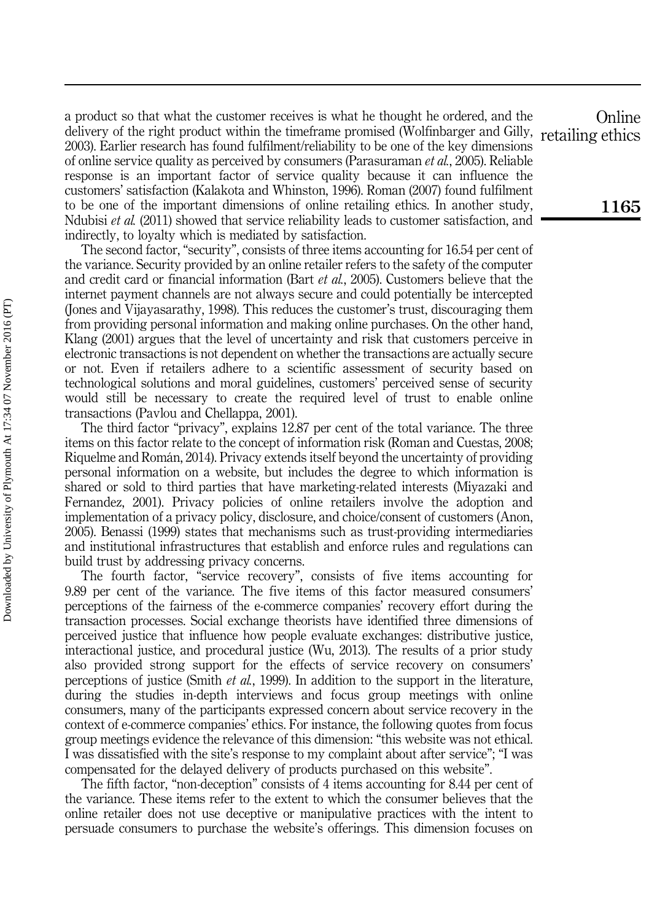a product so that what the customer receives is what he thought he ordered, and the delivery of the right product within the timeframe promised (Wolfinbarger and Gilly, 2003). Earlier research has found fulfilment/reliability to be one of the key dimensions of online service quality as perceived by consumers (Parasuraman et al., 2005). Reliable response is an important factor of service quality because it can influence the customers' satisfaction (Kalakota and Whinston, 1996). Roman (2007) found fulfilment to be one of the important dimensions of online retailing ethics. In another study, Ndubisi *et al.* (2011) showed that service reliability leads to customer satisfaction, and indirectly, to loyalty which is mediated by satisfaction.

The second factor, "security", consists of three items accounting for 16.54 per cent of the variance. Security provided by an online retailer refers to the safety of the computer and credit card or financial information (Bart et al., 2005). Customers believe that the internet payment channels are not always secure and could potentially be intercepted (Jones and Vijayasarathy, 1998). This reduces the customer's trust, discouraging them from providing personal information and making online purchases. On the other hand, Klang (2001) argues that the level of uncertainty and risk that customers perceive in electronic transactions is not dependent on whether the transactions are actually secure or not. Even if retailers adhere to a scientific assessment of security based on technological solutions and moral guidelines, customers' perceived sense of security would still be necessary to create the required level of trust to enable online transactions (Pavlou and Chellappa, 2001).

The third factor "privacy", explains 12.87 per cent of the total variance. The three items on this factor relate to the concept of information risk (Roman and Cuestas, 2008; Riquelme and Román, 2014). Privacy extends itself beyond the uncertainty of providing personal information on a website, but includes the degree to which information is shared or sold to third parties that have marketing-related interests (Miyazaki and Fernandez, 2001). Privacy policies of online retailers involve the adoption and implementation of a privacy policy, disclosure, and choice/consent of customers (Anon, 2005). Benassi (1999) states that mechanisms such as trust-providing intermediaries and institutional infrastructures that establish and enforce rules and regulations can build trust by addressing privacy concerns.

The fourth factor, "service recovery", consists of five items accounting for 9.89 per cent of the variance. The five items of this factor measured consumers' perceptions of the fairness of the e-commerce companies' recovery effort during the transaction processes. Social exchange theorists have identified three dimensions of perceived justice that influence how people evaluate exchanges: distributive justice, interactional justice, and procedural justice (Wu, 2013). The results of a prior study also provided strong support for the effects of service recovery on consumers' perceptions of justice (Smith *et al.*, 1999). In addition to the support in the literature, during the studies in-depth interviews and focus group meetings with online consumers, many of the participants expressed concern about service recovery in the context of e-commerce companies' ethics. For instance, the following quotes from focus group meetings evidence the relevance of this dimension: "this website was not ethical. I was dissatisfied with the site's response to my complaint about after service"; "I was compensated for the delayed delivery of products purchased on this website".

The fifth factor, "non-deception" consists of 4 items accounting for 8.44 per cent of the variance. These items refer to the extent to which the consumer believes that the online retailer does not use deceptive or manipulative practices with the intent to persuade consumers to purchase the website's offerings. This dimension focuses on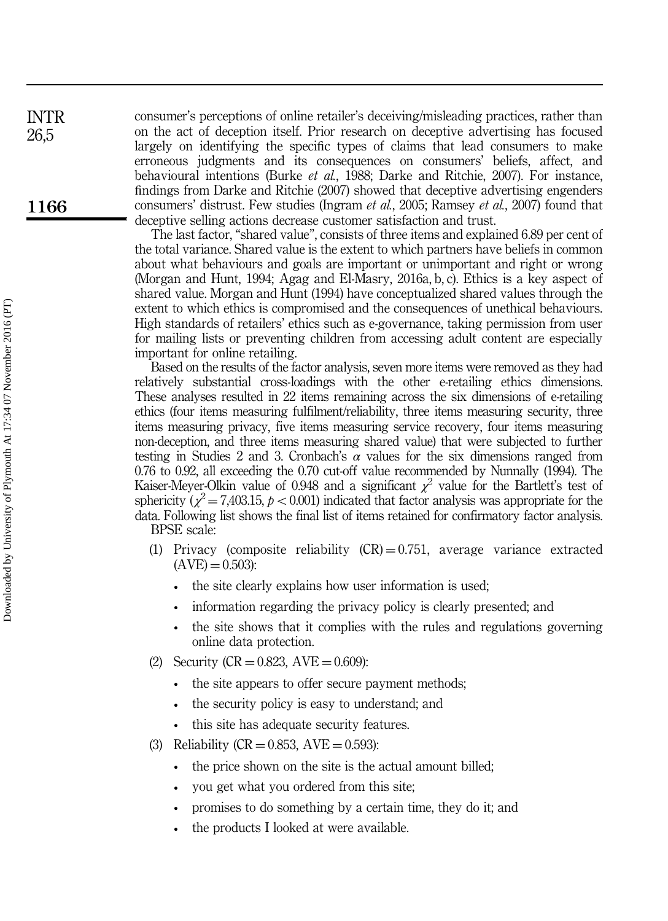consumer's perceptions of online retailer's deceiving/misleading practices, rather than on the act of deception itself. Prior research on deceptive advertising has focused largely on identifying the specific types of claims that lead consumers to make erroneous judgments and its consequences on consumers' beliefs, affect, and behavioural intentions (Burke et al., 1988; Darke and Ritchie, 2007). For instance, findings from Darke and Ritchie (2007) showed that deceptive advertising engenders consumers' distrust. Few studies (Ingram et al., 2005; Ramsey et al., 2007) found that deceptive selling actions decrease customer satisfaction and trust.

The last factor, "shared value", consists of three items and explained 6.89 per cent of the total variance. Shared value is the extent to which partners have beliefs in common about what behaviours and goals are important or unimportant and right or wrong (Morgan and Hunt, 1994; Agag and El-Masry, 2016a, b, c). Ethics is a key aspect of shared value. Morgan and Hunt (1994) have conceptualized shared values through the extent to which ethics is compromised and the consequences of unethical behaviours. High standards of retailers' ethics such as e-governance, taking permission from user for mailing lists or preventing children from accessing adult content are especially important for online retailing.

Based on the results of the factor analysis, seven more items were removed as they had relatively substantial cross-loadings with the other e-retailing ethics dimensions. These analyses resulted in 22 items remaining across the six dimensions of e-retailing ethics (four items measuring fulfilment/reliability, three items measuring security, three items measuring privacy, five items measuring service recovery, four items measuring non-deception, and three items measuring shared value) that were subjected to further testing in Studies 2 and 3. Cronbach's  $\alpha$  values for the six dimensions ranged from 0.76 to 0.92, all exceeding the 0.70 cut-off value recommended by Nunnally (1994). The Kaiser-Meyer-Olkin value of 0.948 and a significant  $\chi^2$  value for the Bartlett's test of sphericity  $(\chi^2 = 7,403.15, p < 0.001)$  indicated that factor analysis was appropriate for the data. Following list shows the final list of items retained for confirmatory factor analysis. BPSE scale:

- (1) Privacy (composite reliability  $(CR) = 0.751$ , average variance extracted  $(AVE) = 0.503$ :
	- the site clearly explains how user information is used;
	- information regarding the privacy policy is clearly presented; and
	- the site shows that it complies with the rules and regulations governing online data protection.
- (2) Security  $(CR = 0.823, AVE = 0.609)$ :
	- the site appears to offer secure payment methods;
	- the security policy is easy to understand; and
	- this site has adequate security features.
- (3) Reliability ( $CR = 0.853$ ,  $AVE = 0.593$ ):
	- the price shown on the site is the actual amount billed;
	- you get what you ordered from this site;
	- promises to do something by a certain time, they do it; and
	- the products I looked at were available.

INTR 26,5

1166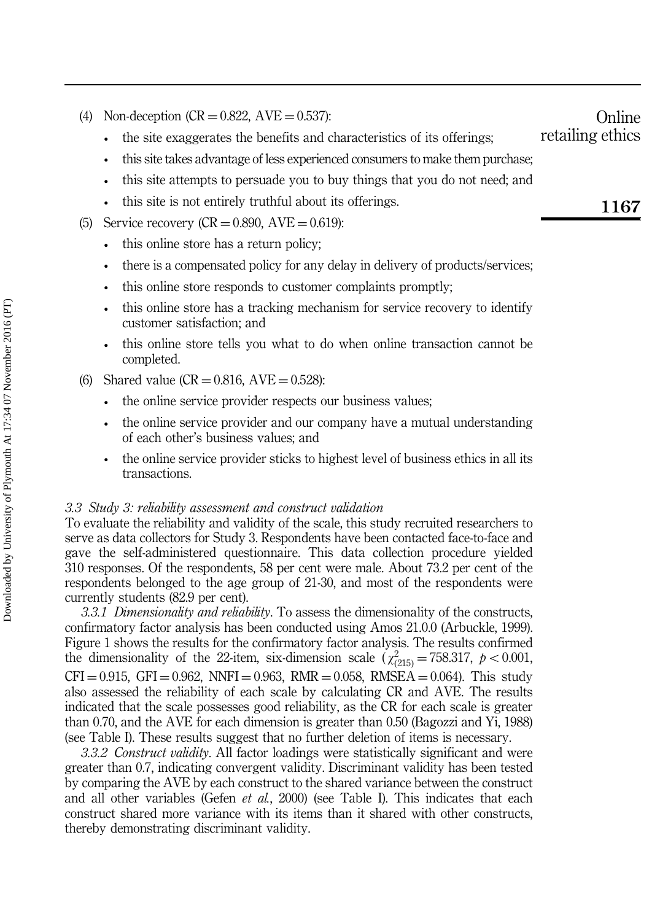• the site exaggerates the benefits and characteristics of its offerings;

- this site takes advantage of less experienced consumers to make them purchase;
- this site attempts to persuade you to buy things that you do not need; and
- this site is not entirely truthful about its offerings.
- (5) Service recovery  $(CR = 0.890, AVE = 0.619)$ :
	- this online store has a return policy;
	- there is a compensated policy for any delay in delivery of products/services;
	- this online store responds to customer complaints promptly;
	- this online store has a tracking mechanism for service recovery to identify customer satisfaction; and
	- this online store tells you what to do when online transaction cannot be completed.
- (6) Shared value  $(CR = 0.816, AVE = 0.528)$ :
	- the online service provider respects our business values;
	- the online service provider and our company have a mutual understanding of each other's business values; and
	- the online service provider sticks to highest level of business ethics in all its transactions.

#### 3.3 Study 3: reliability assessment and construct validation

To evaluate the reliability and validity of the scale, this study recruited researchers to serve as data collectors for Study 3. Respondents have been contacted face-to-face and gave the self-administered questionnaire. This data collection procedure yielded 310 responses. Of the respondents, 58 per cent were male. About 73.2 per cent of the respondents belonged to the age group of 21-30, and most of the respondents were currently students (82.9 per cent).

3.3.1 Dimensionality and reliability. To assess the dimensionality of the constructs, confirmatory factor analysis has been conducted using Amos 21.0.0 (Arbuckle, 1999). Figure 1 shows the results for the confirmatory factor analysis. The results confirmed the dimensionality of the 22-item, six-dimension scale  $(\chi^2_{(215)} = 758.317, p < 0.001,$  $CFI = 0.915$ ,  $GFI = 0.962$ ,  $NNFI = 0.963$ ,  $RMR = 0.058$ ,  $RMSEA = 0.064$ ). This study also assessed the reliability of each scale by calculating CR and AVE. The results indicated that the scale possesses good reliability, as the CR for each scale is greater than 0.70, and the AVE for each dimension is greater than 0.50 (Bagozzi and Yi, 1988) (see Table I). These results suggest that no further deletion of items is necessary.

3.3.2 Construct validity. All factor loadings were statistically significant and were greater than 0.7, indicating convergent validity. Discriminant validity has been tested by comparing the AVE by each construct to the shared variance between the construct and all other variables (Gefen *et al.*, 2000) (see Table I). This indicates that each construct shared more variance with its items than it shared with other constructs, thereby demonstrating discriminant validity.

1167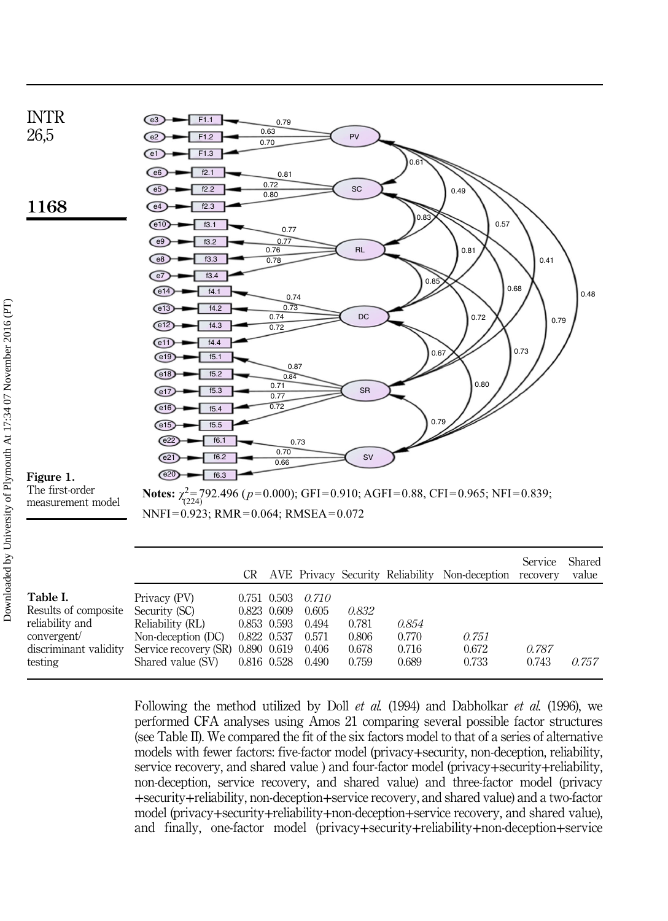

|                                    |                                                       |             |                         |       |       | CR AVE FIRACY SECURITY RELIABILITY NON-RECEPTION RECOVERY |       | value |
|------------------------------------|-------------------------------------------------------|-------------|-------------------------|-------|-------|-----------------------------------------------------------|-------|-------|
| Table I.                           | Privacy (PV)                                          |             | $0.751$ $0.503$ $0.710$ |       |       |                                                           |       |       |
| Results of composite Security (SC) |                                                       | 0.823 0.609 | 0.605                   | 0.832 |       |                                                           |       |       |
| reliability and                    | Reliability (RL)                                      | 0.853 0.593 | 0.494                   | 0.781 | 0.854 |                                                           |       |       |
| convergent/                        | Non-deception $(DC)$ 0.822 0.537                      |             | 0.571                   | 0.806 | 0.770 | 0.751                                                     |       |       |
| discriminant validity              | Service recovery (SR) 0.890 0.619                     |             | 0.406                   | 0.678 | 0.716 | 0.672                                                     | 0.787 |       |
| testing                            | $\frac{1}{2}$ Shared value (SV) $\frac{0.816}{0.528}$ |             | 0.490                   | 0.759 | 0.689 | 0.733                                                     | 0.743 | 0.757 |

Following the method utilized by Doll et al. (1994) and Dabholkar et al. (1996), we performed CFA analyses using Amos 21 comparing several possible factor structures (see Table II). We compared the fit of the six factors model to that of a series of alternative models with fewer factors: five-factor model (privacy+security, non-deception, reliability, service recovery, and shared value ) and four-factor model (privacy+security+reliability, non-deception, service recovery, and shared value) and three-factor model (privacy +security+reliability, non-deception+service recovery, and shared value) and a two-factor model (privacy+security+reliability+non-deception+service recovery, and shared value), and finally, one-factor model (privacy+security+reliability+non-deception+service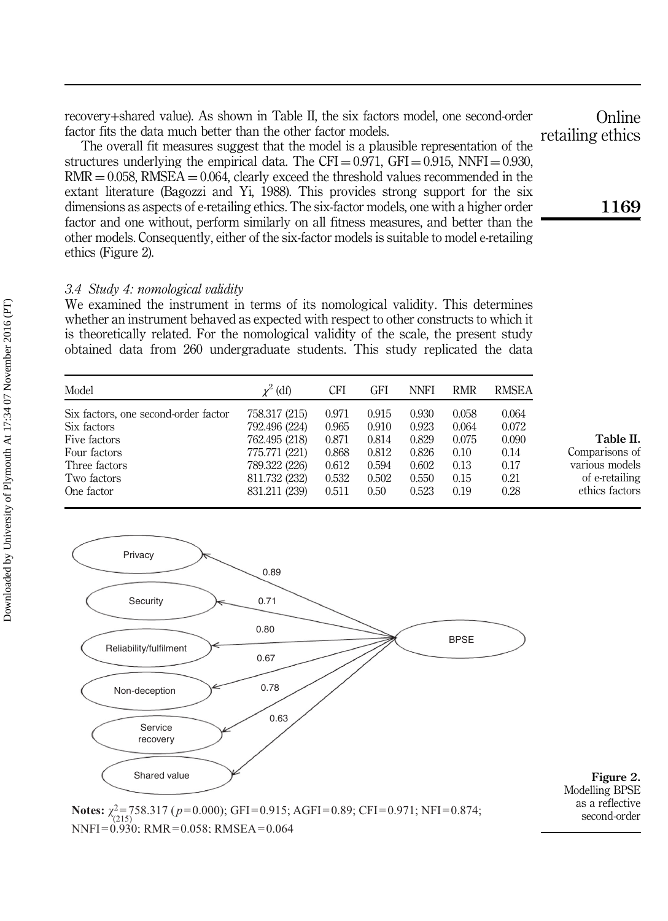recovery+shared value). As shown in Table II, the six factors model, one second-order factor fits the data much better than the other factor models.

The overall fit measures suggest that the model is a plausible representation of the structures underlying the empirical data. The CFI =  $0.971$ , GFI =  $0.915$ , NNFI = 0.930,  $RMR = 0.058$ ,  $RMSEA = 0.064$ , clearly exceed the threshold values recommended in the extant literature (Bagozzi and Yi, 1988). This provides strong support for the six dimensions as aspects of e-retailing ethics. The six-factor models, one with a higher order factor and one without, perform similarly on all fitness measures, and better than the other models. Consequently, either of the six-factor models is suitable to model e-retailing ethics (Figure 2).

#### 3.4 Study 4: nomological validity

We examined the instrument in terms of its nomological validity. This determines whether an instrument behaved as expected with respect to other constructs to which it is theoretically related. For the nomological validity of the scale, the present study obtained data from 260 undergraduate students. This study replicated the data

| Model                                | $\chi^2$ (df) | CFI   | GFI   | <b>NNFI</b> | <b>RMR</b> | <b>RMSEA</b> |                |
|--------------------------------------|---------------|-------|-------|-------------|------------|--------------|----------------|
| Six factors, one second-order factor | 758.317 (215) | 0.971 | 0.915 | 0.930       | 0.058      | 0.064        |                |
| Six factors                          | 792,496 (224) | 0.965 | 0.910 | 0.923       | 0.064      | 0.072        |                |
| Five factors                         | 762.495 (218) | 0.871 | 0.814 | 0.829       | 0.075      | 0.090        | Table II.      |
| Four factors                         | 775.771 (221) | 0.868 | 0.812 | 0.826       | 0.10       | 0.14         | Comparisons of |
| Three factors                        | 789.322 (226) | 0.612 | 0.594 | 0.602       | 0.13       | 0.17         | various models |
| Two factors                          | 811.732 (232) | 0.532 | 0.502 | 0.550       | 0.15       | 0.21         | of e-retailing |
| One factor                           | 831.211 (239) | 0.511 | 0.50  | 0.523       | 0.19       | 0.28         | ethics factors |





1169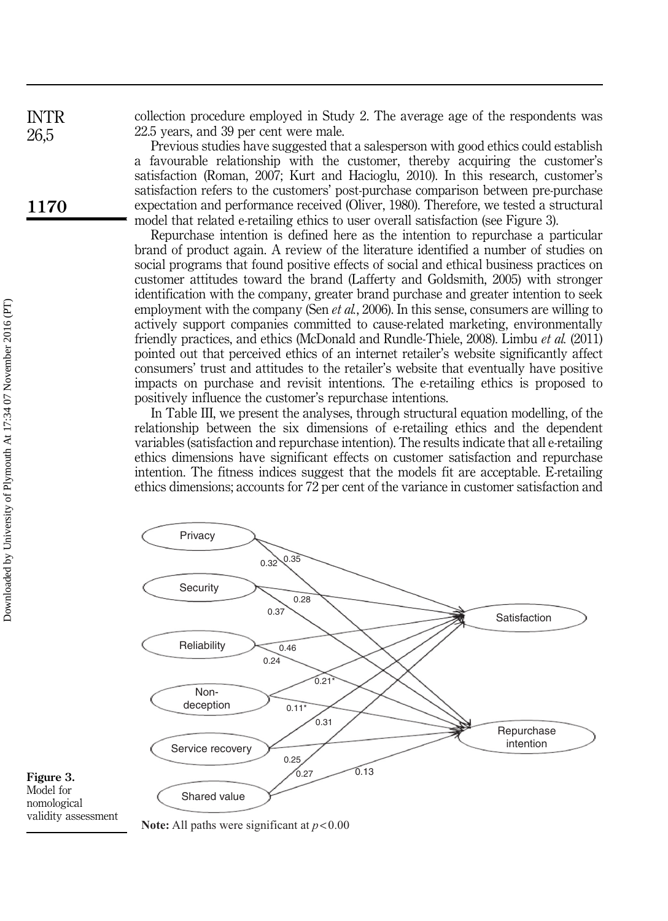collection procedure employed in Study 2. The average age of the respondents was 22.5 years, and 39 per cent were male.

Previous studies have suggested that a salesperson with good ethics could establish a favourable relationship with the customer, thereby acquiring the customer's satisfaction (Roman, 2007; Kurt and Hacioglu, 2010). In this research, customer's satisfaction refers to the customers' post-purchase comparison between pre-purchase expectation and performance received (Oliver, 1980). Therefore, we tested a structural model that related e-retailing ethics to user overall satisfaction (see Figure 3).

Repurchase intention is defined here as the intention to repurchase a particular brand of product again. A review of the literature identified a number of studies on social programs that found positive effects of social and ethical business practices on customer attitudes toward the brand (Lafferty and Goldsmith, 2005) with stronger identification with the company, greater brand purchase and greater intention to seek employment with the company (Sen *et al.*, 2006). In this sense, consumers are willing to actively support companies committed to cause-related marketing, environmentally friendly practices, and ethics (McDonald and Rundle-Thiele, 2008). Limbu et al. (2011) pointed out that perceived ethics of an internet retailer's website significantly affect consumers' trust and attitudes to the retailer's website that eventually have positive impacts on purchase and revisit intentions. The e-retailing ethics is proposed to positively influence the customer's repurchase intentions.

In Table III, we present the analyses, through structural equation modelling, of the relationship between the six dimensions of e-retailing ethics and the dependent variables (satisfaction and repurchase intention). The results indicate that all e-retailing ethics dimensions have significant effects on customer satisfaction and repurchase intention. The fitness indices suggest that the models fit are acceptable. E-retailing ethics dimensions; accounts for 72 per cent of the variance in customer satisfaction and





**Note:** All paths were significant at *p*<0.00

INTR 26,5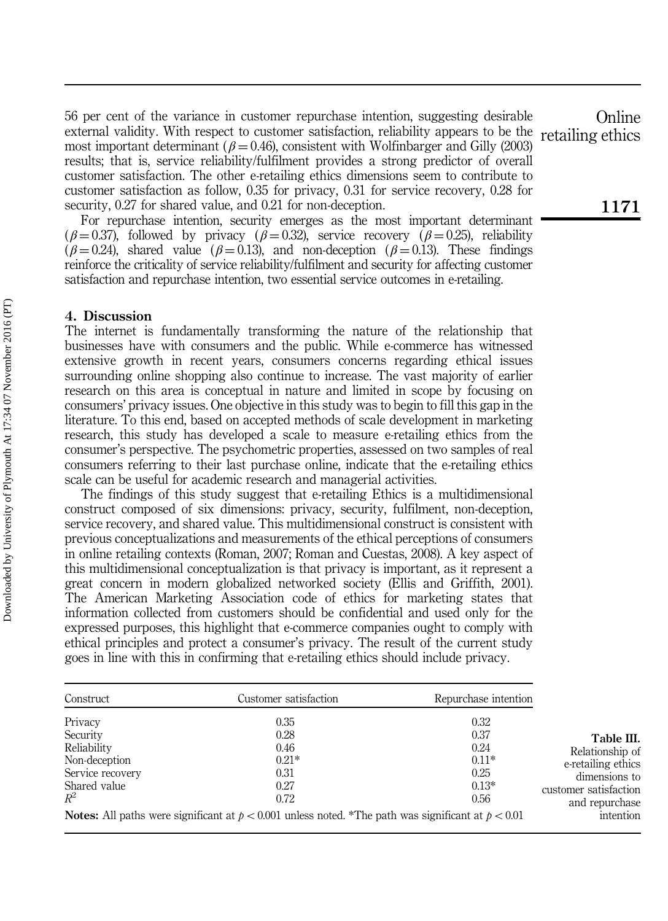56 per cent of the variance in customer repurchase intention, suggesting desirable external validity. With respect to customer satisfaction, reliability appears to be the most important determinant ( $\beta = 0.46$ ), consistent with Wolfinbarger and Gilly (2003) results; that is, service reliability/fulfilment provides a strong predictor of overall customer satisfaction. The other e-retailing ethics dimensions seem to contribute to customer satisfaction as follow, 0.35 for privacy, 0.31 for service recovery, 0.28 for security, 0.27 for shared value, and 0.21 for non-deception. retailing ethics

For repurchase intention, security emerges as the most important determinant ( $\beta = 0.37$ ), followed by privacy ( $\beta = 0.32$ ), service recovery ( $\beta = 0.25$ ), reliability  $(\beta = 0.24)$ , shared value  $(\beta = 0.13)$ , and non-deception  $(\beta = 0.13)$ . These findings reinforce the criticality of service reliability/fulfilment and security for affecting customer satisfaction and repurchase intention, two essential service outcomes in e-retailing.

#### 4. Discussion

The internet is fundamentally transforming the nature of the relationship that businesses have with consumers and the public. While e-commerce has witnessed extensive growth in recent years, consumers concerns regarding ethical issues surrounding online shopping also continue to increase. The vast majority of earlier research on this area is conceptual in nature and limited in scope by focusing on consumers' privacy issues. One objective in this study was to begin to fill this gap in the literature. To this end, based on accepted methods of scale development in marketing research, this study has developed a scale to measure e-retailing ethics from the consumer's perspective. The psychometric properties, assessed on two samples of real consumers referring to their last purchase online, indicate that the e-retailing ethics scale can be useful for academic research and managerial activities.

The findings of this study suggest that e-retailing Ethics is a multidimensional construct composed of six dimensions: privacy, security, fulfilment, non-deception, service recovery, and shared value. This multidimensional construct is consistent with previous conceptualizations and measurements of the ethical perceptions of consumers in online retailing contexts (Roman, 2007; Roman and Cuestas, 2008). A key aspect of this multidimensional conceptualization is that privacy is important, as it represent a great concern in modern globalized networked society (Ellis and Griffith, 2001). The American Marketing Association code of ethics for marketing states that information collected from customers should be confidential and used only for the expressed purposes, this highlight that e-commerce companies ought to comply with ethical principles and protect a consumer's privacy. The result of the current study goes in line with this in confirming that e-retailing ethics should include privacy.

| Construct                                                                                        | Customer satisfaction                                                                                                                                                    | Repurchase intention                                       |                                                                                                                              |
|--------------------------------------------------------------------------------------------------|--------------------------------------------------------------------------------------------------------------------------------------------------------------------------|------------------------------------------------------------|------------------------------------------------------------------------------------------------------------------------------|
| Privacy<br>Security<br>Reliability<br>Non-deception<br>Service recovery<br>Shared value<br>$R^2$ | 0.35<br>0.28<br>0.46<br>$0.21*$<br>0.31<br>0.27<br>0.72<br><b>Notes:</b> All paths were significant at $p < 0.001$ unless noted. *The path was significant at $p < 0.01$ | 0.32<br>0.37<br>0.24<br>$0.11*$<br>0.25<br>$0.13*$<br>0.56 | Table III.<br>Relationship of<br>e-retailing ethics<br>dimensions to<br>customer satisfaction<br>and repurchase<br>intention |

**Online**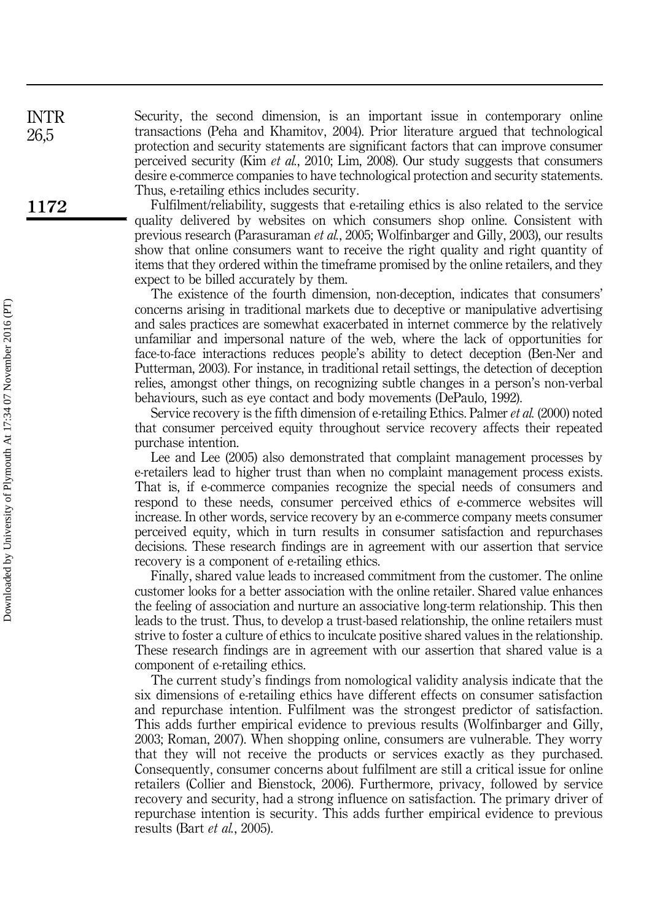Security, the second dimension, is an important issue in contemporary online transactions (Peha and Khamitov, 2004). Prior literature argued that technological protection and security statements are significant factors that can improve consumer perceived security (Kim et al., 2010; Lim, 2008). Our study suggests that consumers desire e-commerce companies to have technological protection and security statements. Thus, e-retailing ethics includes security.

Fulfilment/reliability, suggests that e-retailing ethics is also related to the service quality delivered by websites on which consumers shop online. Consistent with previous research (Parasuraman et al., 2005; Wolfinbarger and Gilly, 2003), our results show that online consumers want to receive the right quality and right quantity of items that they ordered within the timeframe promised by the online retailers, and they expect to be billed accurately by them.

The existence of the fourth dimension, non-deception, indicates that consumers' concerns arising in traditional markets due to deceptive or manipulative advertising and sales practices are somewhat exacerbated in internet commerce by the relatively unfamiliar and impersonal nature of the web, where the lack of opportunities for face-to-face interactions reduces people's ability to detect deception (Ben-Ner and Putterman, 2003). For instance, in traditional retail settings, the detection of deception relies, amongst other things, on recognizing subtle changes in a person's non-verbal behaviours, such as eye contact and body movements (DePaulo, 1992).

Service recovery is the fifth dimension of e-retailing Ethics. Palmer *et al.* (2000) noted that consumer perceived equity throughout service recovery affects their repeated purchase intention.

Lee and Lee (2005) also demonstrated that complaint management processes by e-retailers lead to higher trust than when no complaint management process exists. That is, if e-commerce companies recognize the special needs of consumers and respond to these needs, consumer perceived ethics of e-commerce websites will increase. In other words, service recovery by an e-commerce company meets consumer perceived equity, which in turn results in consumer satisfaction and repurchases decisions. These research findings are in agreement with our assertion that service recovery is a component of e-retailing ethics.

Finally, shared value leads to increased commitment from the customer. The online customer looks for a better association with the online retailer. Shared value enhances the feeling of association and nurture an associative long-term relationship. This then leads to the trust. Thus, to develop a trust-based relationship, the online retailers must strive to foster a culture of ethics to inculcate positive shared values in the relationship. These research findings are in agreement with our assertion that shared value is a component of e-retailing ethics.

The current study's findings from nomological validity analysis indicate that the six dimensions of e-retailing ethics have different effects on consumer satisfaction and repurchase intention. Fulfilment was the strongest predictor of satisfaction. This adds further empirical evidence to previous results (Wolfinbarger and Gilly, 2003; Roman, 2007). When shopping online, consumers are vulnerable. They worry that they will not receive the products or services exactly as they purchased. Consequently, consumer concerns about fulfilment are still a critical issue for online retailers (Collier and Bienstock, 2006). Furthermore, privacy, followed by service recovery and security, had a strong influence on satisfaction. The primary driver of repurchase intention is security. This adds further empirical evidence to previous results (Bart et al., 2005).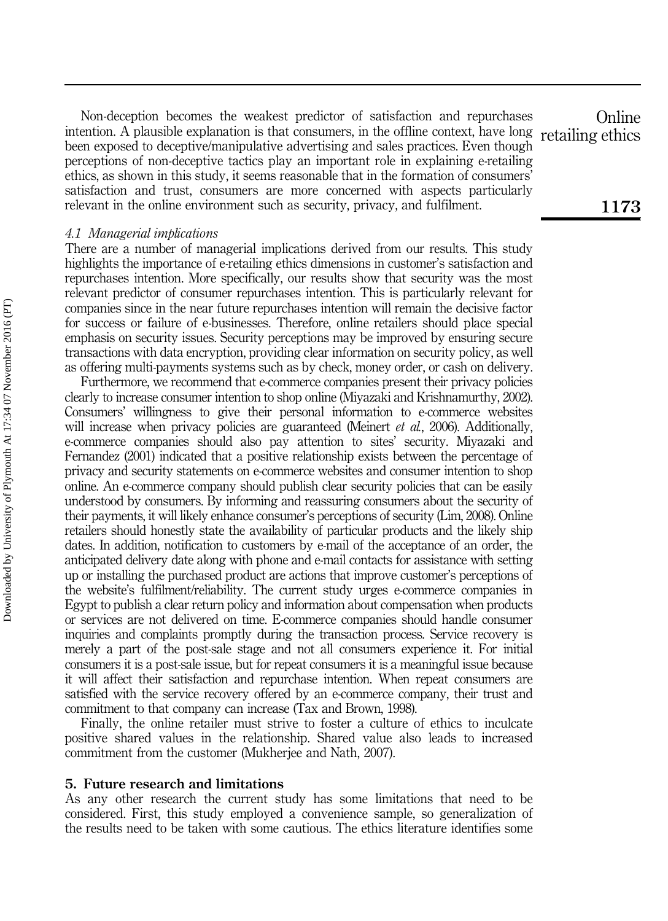Non-deception becomes the weakest predictor of satisfaction and repurchases intention. A plausible explanation is that consumers, in the offline context, have long been exposed to deceptive/manipulative advertising and sales practices. Even though perceptions of non-deceptive tactics play an important role in explaining e-retailing ethics, as shown in this study, it seems reasonable that in the formation of consumers' satisfaction and trust, consumers are more concerned with aspects particularly relevant in the online environment such as security, privacy, and fulfilment.

#### 4.1 Managerial implications

There are a number of managerial implications derived from our results. This study highlights the importance of e-retailing ethics dimensions in customer's satisfaction and repurchases intention. More specifically, our results show that security was the most relevant predictor of consumer repurchases intention. This is particularly relevant for companies since in the near future repurchases intention will remain the decisive factor for success or failure of e-businesses. Therefore, online retailers should place special emphasis on security issues. Security perceptions may be improved by ensuring secure transactions with data encryption, providing clear information on security policy, as well as offering multi-payments systems such as by check, money order, or cash on delivery.

Furthermore, we recommend that e-commerce companies present their privacy policies clearly to increase consumer intention to shop online (Miyazaki and Krishnamurthy, 2002). Consumers' willingness to give their personal information to e-commerce websites will increase when privacy policies are guaranteed (Meinert *et al.*, 2006). Additionally, e-commerce companies should also pay attention to sites' security. Miyazaki and Fernandez (2001) indicated that a positive relationship exists between the percentage of privacy and security statements on e-commerce websites and consumer intention to shop online. An e-commerce company should publish clear security policies that can be easily understood by consumers. By informing and reassuring consumers about the security of their payments, it will likely enhance consumer's perceptions of security (Lim, 2008). Online retailers should honestly state the availability of particular products and the likely ship dates. In addition, notification to customers by e-mail of the acceptance of an order, the anticipated delivery date along with phone and e-mail contacts for assistance with setting up or installing the purchased product are actions that improve customer's perceptions of the website's fulfilment/reliability. The current study urges e-commerce companies in Egypt to publish a clear return policy and information about compensation when products or services are not delivered on time. E-commerce companies should handle consumer inquiries and complaints promptly during the transaction process. Service recovery is merely a part of the post-sale stage and not all consumers experience it. For initial consumers it is a post-sale issue, but for repeat consumers it is a meaningful issue because it will affect their satisfaction and repurchase intention. When repeat consumers are satisfied with the service recovery offered by an e-commerce company, their trust and commitment to that company can increase (Tax and Brown, 1998).

Finally, the online retailer must strive to foster a culture of ethics to inculcate positive shared values in the relationship. Shared value also leads to increased commitment from the customer (Mukherjee and Nath, 2007).

#### 5. Future research and limitations

As any other research the current study has some limitations that need to be considered. First, this study employed a convenience sample, so generalization of the results need to be taken with some cautious. The ethics literature identifies some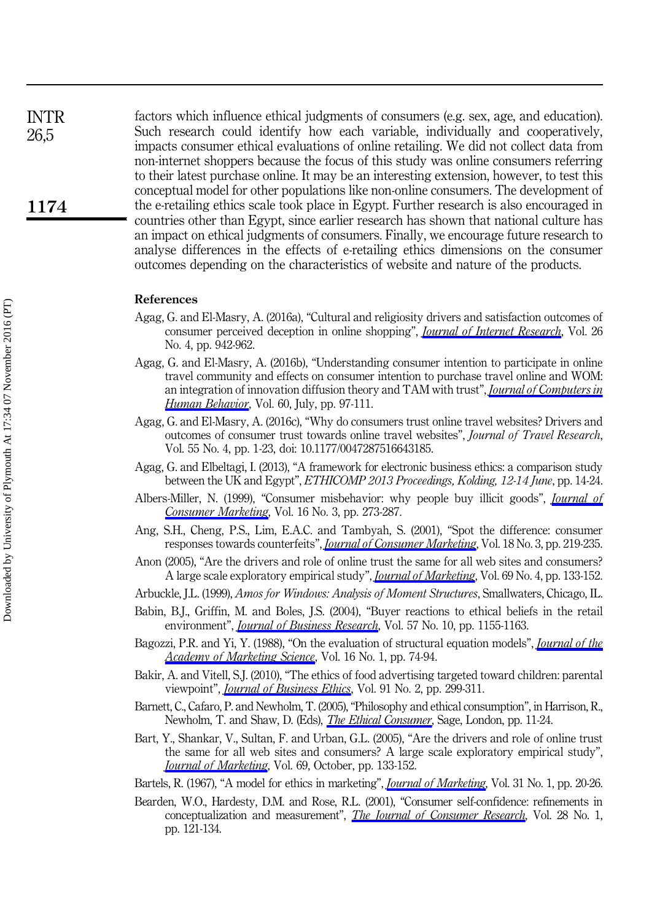factors which influence ethical judgments of consumers (e.g. sex, age, and education). Such research could identify how each variable, individually and cooperatively, impacts consumer ethical evaluations of online retailing. We did not collect data from non-internet shoppers because the focus of this study was online consumers referring to their latest purchase online. It may be an interesting extension, however, to test this conceptual model for other populations like non-online consumers. The development of the e-retailing ethics scale took place in Egypt. Further research is also encouraged in countries other than Egypt, since earlier research has shown that national culture has an impact on ethical judgments of consumers. Finally, we encourage future research to analyse differences in the effects of e-retailing ethics dimensions on the consumer outcomes depending on the characteristics of website and nature of the products.

#### References

- Agag, G. and El-Masry, A. (2016a), "Cultural and religiosity drivers and satisfaction outcomes of consumer perceived deception in online shopping", *[Journal of Internet Research](http://www.emeraldinsight.com/action/showLinks?system=10.1108%2FIntR-06-2015-0168)*, Vol. 26 No. 4, pp. 942-962.
- Agag, G. and El-Masry, A. (2016b), "Understanding consumer intention to participate in online travel community and effects on consumer intention to purchase travel online and WOM: an integration of innovation diffusion theory and TAM with trust", *[Journal of Computers in](http://www.emeraldinsight.com/action/showLinks?crossref=10.1016%2Fj.chb.2016.02.038&isi=000375811900011)* [Human Behavior](http://www.emeraldinsight.com/action/showLinks?crossref=10.1016%2Fj.chb.2016.02.038&isi=000375811900011), Vol. 60, July, pp. 97-111.
- Agag, G. and El-Masry, A. (2016c), "Why do consumers trust online travel websites? Drivers and outcomes of consumer trust towards online travel websites", Journal of Travel Research, Vol. 55 No. 4, pp. 1-23, doi: 10.1177/0047287516643185.
- Agag, G. and Elbeltagi, I. (2013), "A framework for electronic business ethics: a comparison study between the UK and Egypt", ETHICOMP 2013 Proceedings, Kolding, 12-14 June, pp. 14-24.
- Albers-Miller, N. (1999), "Consumer misbehavior: why people buy illicit goods", *[Journal of](http://www.emeraldinsight.com/action/showLinks?system=10.1108%2F07363769910271504)* [Consumer Marketing](http://www.emeraldinsight.com/action/showLinks?system=10.1108%2F07363769910271504), Vol. 16 No. 3, pp. 273-287.
- Ang, S.H., Cheng, P.S., Lim, E.A.C. and Tambyah, S. (2001), "Spot the difference: consumer responses towards counterfeits", *[Journal of Consumer Marketing](http://www.emeraldinsight.com/action/showLinks?system=10.1108%2F07363760110392967)*, Vol. 18 No. 3, pp. 219-235.
- Anon (2005), "Are the drivers and role of online trust the same for all web sites and consumers? A large scale exploratory empirical study", *[Journal of Marketing](http://www.emeraldinsight.com/action/showLinks?crossref=10.1509%2Fjmkg.2005.69.4.133&isi=000232380900008)*, Vol. 69 No. 4, pp. 133-152.
- Arbuckle, J.L. (1999), Amos for Windows: Analysis of Moment Structures, Smallwaters, Chicago, IL.
- Babin, B.J., Griffin, M. and Boles, J.S. (2004), "Buyer reactions to ethical beliefs in the retail environment", *[Journal of Business Research](http://www.emeraldinsight.com/action/showLinks?crossref=10.1016%2FS0148-2963%2802%2900329-6&isi=000223793300012)*, Vol. 57 No. 10, pp. 1155-1163.
- Bagozzi, P.R. and Yi, Y. (1988), "On the evaluation of structural equation models", *[Journal of the](http://www.emeraldinsight.com/action/showLinks?crossref=10.1007%2FBF02723327)* [Academy of Marketing Science](http://www.emeraldinsight.com/action/showLinks?crossref=10.1007%2FBF02723327), Vol. 16 No. 1, pp. 74-94.
- Bakir, A. and Vitell, S.J. (2010), "The ethics of food advertising targeted toward children: parental viewpoint", *[Journal of Business Ethics](http://www.emeraldinsight.com/action/showLinks?crossref=10.1007%2Fs10551-009-0084-2&isi=000273320800010)*, Vol. 91 No. 2, pp. 299-311.
- Barnett, C., Cafaro, P. and Newholm, T. (2005), "Philosophy and ethical consumption", in Harrison, R., Newholm, T. and Shaw, D. (Eds), *[The Ethical Consumer](http://www.emeraldinsight.com/action/showLinks?crossref=10.4135%2F9781446211991.n2)*, Sage, London, pp. 11-24.
- Bart, Y., Shankar, V., Sultan, F. and Urban, G.L. (2005), "Are the drivers and role of online trust the same for all web sites and consumers? A large scale exploratory empirical study", [Journal of Marketing](http://www.emeraldinsight.com/action/showLinks?crossref=10.1509%2Fjmkg.2005.69.4.133&isi=000232380900008), Vol. 69, October, pp. 133-152.
- Bartels, R. (1967), "A model for ethics in marketing", *[Journal of Marketing](http://www.emeraldinsight.com/action/showLinks?crossref=10.2307%2F1249296&isi=A1967ZD51800005)*, Vol. 31 No. 1, pp. 20-26.
- Bearden, W.O., Hardesty, D.M. and Rose, R.L. (2001), "Consumer self-confidence: refinements in conceptualization and measurement", *[The Journal of Consumer Research](http://www.emeraldinsight.com/action/showLinks?crossref=10.1086%2F321951&isi=000169280300009)*, Vol. 28 No. 1, pp. 121-134.

1174

INTR 26,5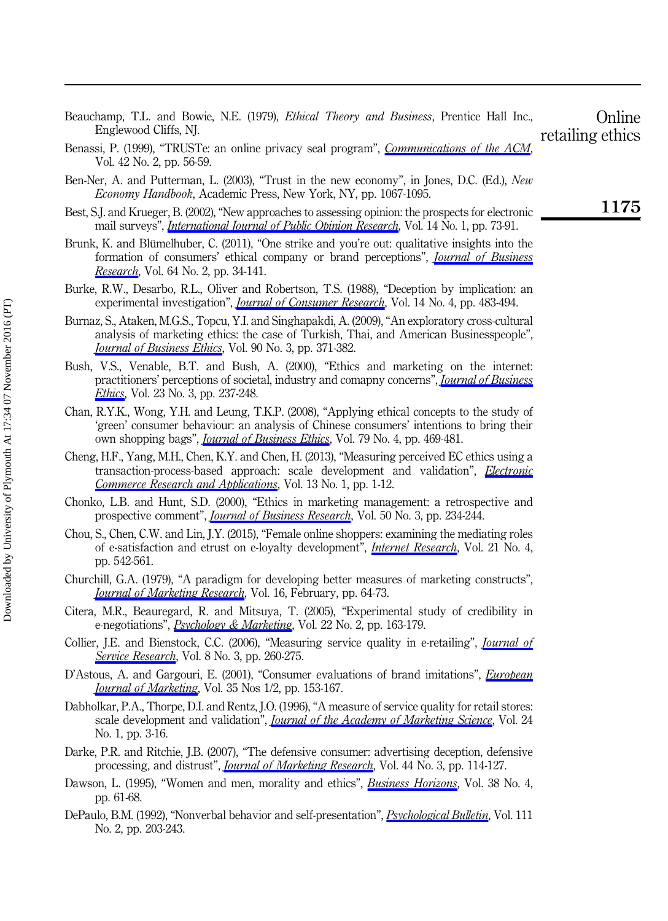| Beauchamp, T.L. and Bowie, N.E. (1979), <i>Ethical Theory and Business</i> , Prentice Hall Inc.,<br>Englewood Cliffs, NJ.                                                                                                                                                       | Online<br>retailing ethics |
|---------------------------------------------------------------------------------------------------------------------------------------------------------------------------------------------------------------------------------------------------------------------------------|----------------------------|
| Benassi, P. (1999), "TRUSTe: an online privacy seal program", <i>Communications of the ACM</i> ,<br>Vol. 42 No. 2, pp. 56-59.                                                                                                                                                   |                            |
| Ben-Ner, A. and Putterman, L. (2003), "Trust in the new economy", in Jones, D.C. (Ed.), New<br>Economy Handbook, Academic Press, New York, NY, pp. 1067-1095.                                                                                                                   |                            |
| Best, S.J. and Krueger, B. (2002), "New approaches to assessing opinion: the prospects for electronic<br>mail surveys", <i>International Journal of Public Obinion Research</i> , Vol. 14 No. 1, pp. 73-91.                                                                     | 1175                       |
| Brunk, K. and Blümelhuber, C. (2011), "One strike and you're out: qualitative insights into the<br>formation of consumers' ethical company or brand perceptions", <i>Journal of Business</i><br>Research, Vol. 64 No. 2, pp. 34-141.                                            |                            |
| Burke, R.W., Desarbo, R.L., Oliver and Robertson, T.S. (1988), "Deception by implication: an<br>experimental investigation", <i>Journal of Consumer Research</i> , Vol. 14 No. 4, pp. 483-494.                                                                                  |                            |
| Burnaz, S., Ataken, M.G.S., Topcu, Y.I. and Singhapakdi, A. (2009), "An exploratory cross-cultural<br>analysis of marketing ethics: the case of Turkish, Thai, and American Businesspeople",<br><i><u>Iournal of Business Ethics</u></i> , Vol. 90 No. 3, pp. 371-382.          |                            |
| Bush, V.S., Venable, B.T. and Bush, A. (2000), "Ethics and marketing on the internet:<br>practitioners' perceptions of societal, industry and comapny concerns", <i>Journal of Business</i><br><i>Ethics</i> , Vol. 23 No. 3, pp. 237-248.                                      |                            |
| Chan, R.Y.K., Wong, Y.H. and Leung, T.K.P. (2008), "Applying ethical concepts to the study of<br>'green' consumer behaviour: an analysis of Chinese consumers' intentions to bring their<br>own shopping bags", <i>Journal of Business Ethics</i> , Vol. 79 No. 4, pp. 469-481. |                            |
| Cheng, H.F., Yang, M.H., Chen, K.Y. and Chen, H. (2013), "Measuring perceived EC ethics using a<br>transaction-process-based approach: scale development and validation", <i>Electronic</i><br>Commerce Research and Applications, Vol. 13 No. 1, pp. 1-12.                     |                            |
| Chonko, L.B. and Hunt, S.D. (2000), "Ethics in marketing management: a retrospective and<br>prospective comment", <i>Journal of Business Research</i> , Vol. 50 No. 3, pp. 234-244.                                                                                             |                            |
| Chou, S., Chen, C.W. and Lin, J.Y. (2015), "Female online shoppers: examining the mediating roles<br>of e-satisfaction and etrust on e-loyalty development", <i>Internet Research</i> , Vol. 21 No. 4,<br>pp. 542-561.                                                          |                            |
| Churchill, G.A. (1979), "A paradigm for developing better measures of marketing constructs",<br><b>Journal of Marketing Research, Vol. 16, February, pp. 64-73.</b>                                                                                                             |                            |
| Citera, M.R., Beauregard, R. and Mitsuya, T. (2005), "Experimental study of credibility in<br>e-negotiations", <i>Psychology &amp; Marketing</i> , Vol. 22 No. 2, pp. 163-179.                                                                                                  |                            |
| Collier, J.E. and Bienstock, C.C. (2006), "Measuring service quality in e-retailing", <i>Journal of</i><br><i>Service Research</i> , Vol. 8 No. 3, pp. 260-275.                                                                                                                 |                            |
| D'Astous, A. and Gargouri, E. (2001), "Consumer evaluations of brand imitations", <i>European</i><br><b>Journal of Marketing, Vol. 35 Nos 1/2, pp. 153-167.</b>                                                                                                                 |                            |
| Dabholkar, P.A., Thorpe, D.I. and Rentz, J.O. (1996), "A measure of service quality for retail stores:<br>scale development and validation", <i>Journal of the Academy of Marketing Science</i> , Vol. 24<br>No. 1, pp. 3-16.                                                   |                            |
| Darke, P.R. and Ritchie, J.B. (2007), "The defensive consumer: advertising deception, defensive<br>processing, and distrust", <i>Journal of Marketing Research</i> , Vol. 44 No. 3, pp. 114-127.                                                                                |                            |
| Dawson, L. (1995), "Women and men, morality and ethics", <i>Business Horizons</i> , Vol. 38 No. 4,<br>pp. 61-68.                                                                                                                                                                |                            |
| DePaulo, B.M. (1992), "Nonverbal behavior and self-presentation", <i>Psychological Bulletin</i> , Vol. 111<br>No. 2, pp. 203-243.                                                                                                                                               |                            |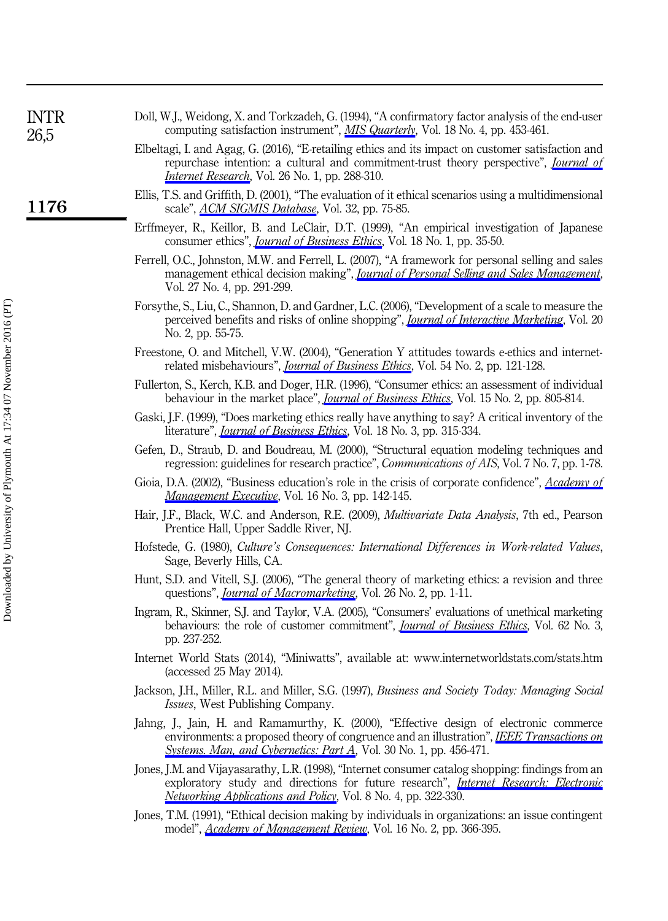| INTR<br>26,5 | Doll, W.J., Weidong, X. and Torkzadeh, G. (1994), "A confirmatory factor analysis of the end-user<br>computing satisfaction instrument", MIS Quarterly, Vol. 18 No. 4, pp. 453-461.                                                                                 |
|--------------|---------------------------------------------------------------------------------------------------------------------------------------------------------------------------------------------------------------------------------------------------------------------|
|              | Elbeltagi, I. and Agag, G. (2016), "E-retailing ethics and its impact on customer satisfaction and<br>repurchase intention: a cultural and commitment-trust theory perspective", <i>Journal of</i><br><i>Internet Research</i> , Vol. 26 No. 1, pp. 288-310.        |
| 1176         | Ellis, T.S. and Griffith, D. (2001), "The evaluation of it ethical scenarios using a multidimensional<br>scale", <i>ACM SIGMIS Database</i> , Vol. 32, pp. 75-85.                                                                                                   |
|              | Erffmeyer, R., Keillor, B. and LeClair, D.T. (1999), "An empirical investigation of Japanese<br>consumer ethics", <i>Journal of Business Ethics</i> , Vol. 18 No. 1, pp. 35-50.                                                                                     |
|              | Ferrell, O.C., Johnston, M.W. and Ferrell, L. (2007), "A framework for personal selling and sales<br>management ethical decision making", <i>Journal of Personal Selling and Sales Management</i> ,<br>Vol. 27 No. 4, pp. 291-299.                                  |
|              | Forsythe, S., Liu, C., Shannon, D. and Gardner, L.C. (2006), "Development of a scale to measure the<br>perceived benefits and risks of online shopping", <i>Journal of Interactive Marketing</i> , Vol. 20<br>No. 2, pp. 55-75.                                     |
|              | Freestone, O. and Mitchell, V.W. (2004), "Generation Y attitudes towards e-ethics and internet-<br>related misbehaviours", <i>Journal of Business Ethics</i> , Vol. 54 No. 2, pp. 121-128.                                                                          |
|              | Fullerton, S., Kerch, K.B. and Doger, H.R. (1996), "Consumer ethics: an assessment of individual<br>behaviour in the market place", <i>Journal of Business Ethics</i> , Vol. 15 No. 2, pp. 805-814.                                                                 |
|              | Gaski, J.F. (1999), "Does marketing ethics really have anything to say? A critical inventory of the<br>literature", <i>Journal of Business Ethics</i> , Vol. 18 No. 3, pp. 315-334.                                                                                 |
|              | Gefen, D., Straub, D. and Boudreau, M. (2000), "Structural equation modeling techniques and<br>regression: guidelines for research practice", <i>Communications of AIS</i> , Vol. 7 No. 7, pp. 1-78.                                                                |
|              | Gioia, D.A. (2002), "Business education's role in the crisis of corporate confidence", Academy of<br>Management Executive, Vol. 16 No. 3, pp. 142-145.                                                                                                              |
|              | Hair, J.F., Black, W.C. and Anderson, R.E. (2009), <i>Multivariate Data Analysis</i> , 7th ed., Pearson<br>Prentice Hall, Upper Saddle River, NJ.                                                                                                                   |
|              | Hofstede, G. (1980), Culture's Consequences: International Differences in Work-related Values,<br>Sage, Beverly Hills, CA.                                                                                                                                          |
|              | Hunt, S.D. and Vitell, S.J. (2006), "The general theory of marketing ethics: a revision and three<br>questions", <i>Journal of Macromarketing</i> , Vol. 26 No. 2, pp. 1-11.                                                                                        |
|              | Ingram, R., Skinner, S.J. and Taylor, V.A. (2005), "Consumers' evaluations of unethical marketing<br>behaviours: the role of customer commitment", <i>Journal of Business Ethics</i> , Vol. 62 No. 3,<br>pp. 237-252.                                               |
|              | Internet World Stats (2014), "Miniwatts", available at: www.internetworldstats.com/stats.htm<br>(accessed 25 May 2014).                                                                                                                                             |
|              | Jackson, J.H., Miller, R.L. and Miller, S.G. (1997), Business and Society Today: Managing Social<br><i>Issues</i> , West Publishing Company.                                                                                                                        |
|              | Jahng, J., Jain, H. and Ramamurthy, K. (2000), "Effective design of electronic commerce<br>environments: a proposed theory of congruence and an illustration", IEEE Transactions on<br>Systems. Man, and Cybernetics: Part A, Vol. 30 No. 1, pp. 456-471.           |
|              | Jones, J.M. and Vijayasarathy, L.R. (1998), "Internet consumer catalog shopping: findings from an<br>exploratory study and directions for future research", Internet Research: Electronic<br><i>Networking Abblications and Policy</i> , Vol. 8 No. 4, pp. 322-330. |
|              | Jones, T.M. (1991), "Ethical decision making by individuals in organizations: an issue contingent                                                                                                                                                                   |

model", *[Academy of Management Review](http://www.emeraldinsight.com/action/showLinks?isi=A1991FF65100007)*, Vol. 16 No. 2, pp. 366-395.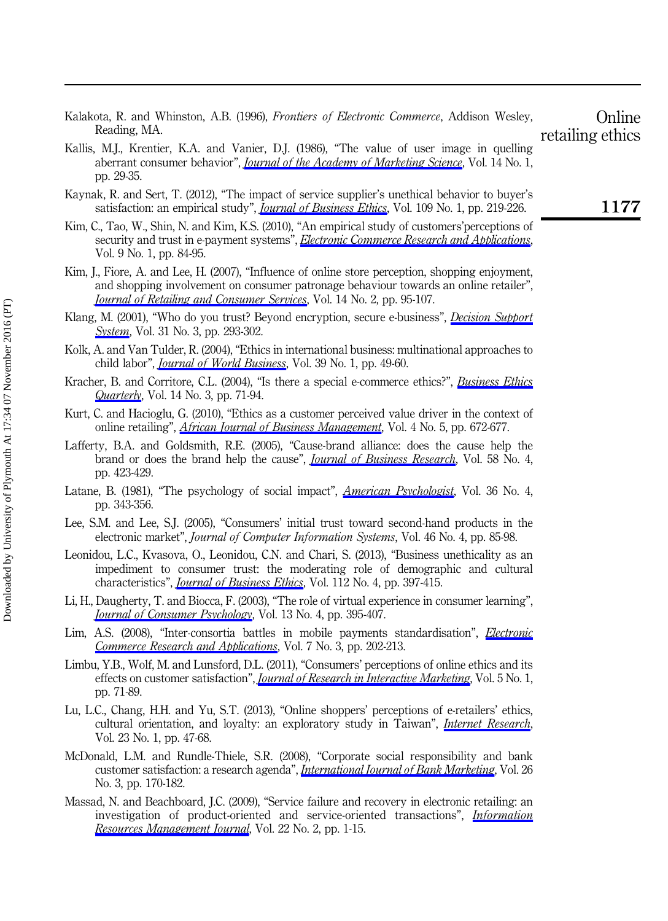| Reading, MA.                                                                                                                                                                                                                                                          | retailing ethics |
|-----------------------------------------------------------------------------------------------------------------------------------------------------------------------------------------------------------------------------------------------------------------------|------------------|
| Kallis, M.J., Krentier, K.A. and Vanier, D.J. (1986), "The value of user image in quelling<br>aberrant consumer behavior", <i>Journal of the Academy of Marketing Science</i> , Vol. 14 No. 1,<br>pp. 29-35.                                                          |                  |
| Kaynak, R. and Sert, T. (2012), "The impact of service supplier's unethical behavior to buyer's<br>satisfaction: an empirical study", <i>Journal of Business Ethics</i> , Vol. 109 No. 1, pp. 219-226.                                                                | 1177             |
| Kim, C., Tao, W., Shin, N. and Kim, K.S. (2010), "An empirical study of customers' perceptions of<br>security and trust in e-payment systems", Electronic Commerce Research and Applications,<br>Vol. 9 No. 1, pp. 84-95.                                             |                  |
| Kim, J., Fiore, A. and Lee, H. (2007), "Influence of online store perception, shopping enjoyment,<br>and shopping involvement on consumer patronage behaviour towards an online retailer",<br>Journal of Retailing and Consumer Services, Vol. 14 No. 2, pp. 95-107.  |                  |
| Klang, M. (2001), "Who do you trust? Beyond encryption, secure e-business", <i>Decision Support</i><br><i>System</i> , Vol. 31 No. 3, pp. 293-302.                                                                                                                    |                  |
| Kolk, A. and Van Tulder, R. (2004), "Ethics in international business: multinational approaches to<br>child labor", <i>Journal of World Business</i> , Vol. 39 No. 1, pp. 49-60.                                                                                      |                  |
| Kracher, B. and Corritore, C.L. (2004), "Is there a special e-commerce ethics?", <i>Business Ethics</i><br>Quarterly, Vol. 14 No. 3, pp. 71-94.                                                                                                                       |                  |
| Kurt, C. and Hacioglu, G. (2010), "Ethics as a customer perceived value driver in the context of<br>online retailing", <i>African Journal of Business Management</i> , Vol. 4 No. 5, pp. 672-677.                                                                     |                  |
| Lafferty, B.A. and Goldsmith, R.E. (2005), "Cause-brand alliance: does the cause help the<br>brand or does the brand help the cause", <i>Journal of Business Research</i> , Vol. 58 No. 4,<br>pp. 423-429.                                                            |                  |
| Latane, B. (1981), "The psychology of social impact", <i>American Psychologist</i> , Vol. 36 No. 4,<br>pp. 343-356.                                                                                                                                                   |                  |
| Lee, S.M. and Lee, S.J. (2005), "Consumers' initial trust toward second-hand products in the<br>electronic market", <i>Journal of Computer Information Systems</i> , Vol. 46 No. 4, pp. 85-98.                                                                        |                  |
| Leonidou, L.C., Kvasova, O., Leonidou, C.N. and Chari, S. (2013), "Business unethicality as an<br>impediment to consumer trust: the moderating role of demographic and cultural<br>characteristics", <i>Journal of Business Ethics</i> , Vol. 112 No. 4, pp. 397-415. |                  |
| Li, H., Daugherty, T. and Biocca, F. (2003), "The role of virtual experience in consumer learning",<br><b>Journal of Consumer Psychology, Vol. 13 No. 4, pp. 395-407.</b>                                                                                             |                  |
| Lim, A.S. (2008), "Inter-consortia battles in mobile payments standardisation", <i>Electronic</i><br>Commerce Research and Applications, Vol. 7 No. 3, pp. 202-213.                                                                                                   |                  |
| Limbu, Y.B., Wolf, M. and Lunsford, D.L. (2011), "Consumers' perceptions of online ethics and its<br>effects on customer satisfaction", <i>Journal of Research in Interactive Marketing</i> , Vol. 5 No. 1,<br>pp. 71-89.                                             |                  |
| Lu, L.C., Chang, H.H. and Yu, S.T. (2013), "Online shoppers' perceptions of e-retailers' ethics,<br>cultural orientation, and loyalty: an exploratory study in Taiwan", <i>Internet Research</i> ,<br>Vol. 23 No. 1, pp. 47-68.                                       |                  |

Kalakota, R. and Whinston, A.B. (1996), Frontiers of Electronic Commerce, Addison Wesley,

Online

- McDonald, L.M. and Rundle-Thiele, S.R. (2008), "Corporate social responsibility and bank customer satisfaction: a research agenda", *[International Journal of Bank Marketing](http://www.emeraldinsight.com/action/showLinks?system=10.1108%2F02652320810864643)*, Vol. 26 No. 3, pp. 170-182.
- Massad, N. and Beachboard, J.C. (2009), "Service failure and recovery in electronic retailing: an investigation of product-oriented and service-oriented transactions", [Information](http://www.emeraldinsight.com/action/showLinks?crossref=10.4018%2Firmj.2009070101) [Resources Management Journal](http://www.emeraldinsight.com/action/showLinks?crossref=10.4018%2Firmj.2009070101), Vol. 22 No. 2, pp. 1-15.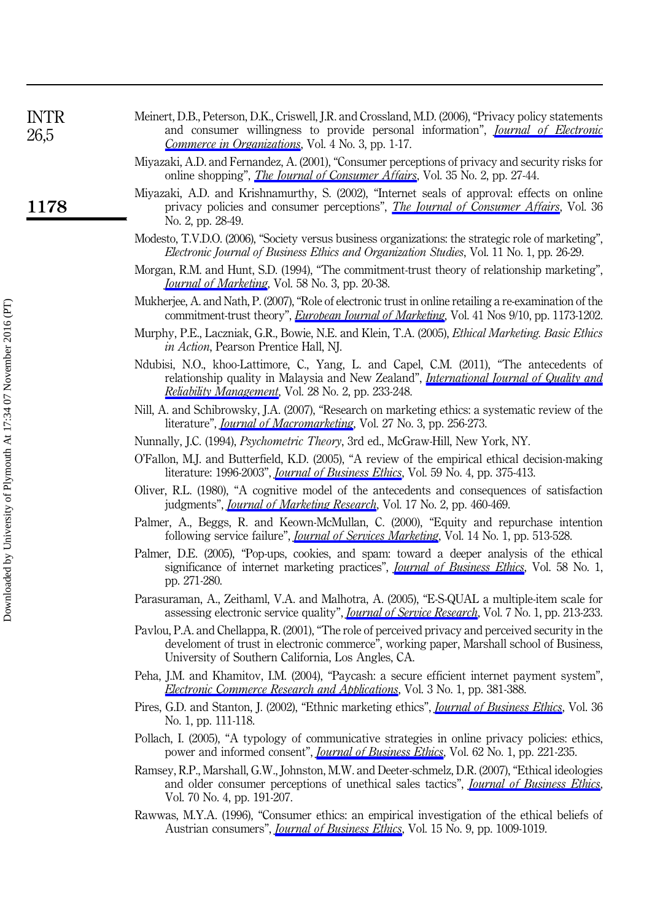| INTR<br>26,5 | Meinert, D.B., Peterson, D.K., Criswell, J.R. and Crossland, M.D. (2006), "Privacy policy statements<br>and consumer willingness to provide personal information", <i>Journal of Electronic</i>                  |
|--------------|------------------------------------------------------------------------------------------------------------------------------------------------------------------------------------------------------------------|
|              | <i>Commerce in Organizations</i> , Vol. 4 No. 3, pp. 1-17.                                                                                                                                                       |
|              | Miyazaki, A.D. and Fernandez, A. (2001), "Consumer perceptions of privacy and security risks for<br>online shopping", <i>The Journal of Consumer Affairs</i> , Vol. 35 No. 2, pp. 27-44.                         |
| 1178         | Miyazaki, A.D. and Krishnamurthy, S. (2002), "Internet seals of approval: effects on online<br>privacy policies and consumer perceptions", <i>The Journal of Consumer Affairs</i> , Vol. 36<br>No. 2, pp. 28-49. |
|              | Modesto, T.V.D.O. (2006), "Society versus business organizations: the strategic role of marketing",<br><i>Electronic Journal of Business Ethics and Organization Studies, Vol. 11 No. 1, pp. 26-29.</i>          |
|              | Morgan, R.M. and Hunt, S.D. (1994), "The commitment-trust theory of relationship marketing",<br><i>Journal of Marketing</i> , Vol. 58 No. 3, pp. 20-38.                                                          |
|              | Mukherjee, A. and Nath, P. (2007), "Role of electronic trust in online retailing a re-examination of the                                                                                                         |

- commitment-trust theory", [European Journal of Marketing](http://www.emeraldinsight.com/action/showLinks?system=10.1108%2F03090560710773390&isi=000250218300011), Vol. 41 Nos 9/10, pp. 1173-1202.
- Murphy, P.E., Laczniak, G.R., Bowie, N.E. and Klein, T.A. (2005), Ethical Marketing. Basic Ethics in Action, Pearson Prentice Hall, NJ.
- Ndubisi, N.O., khoo-Lattimore, C., Yang, L. and Capel, C.M. (2011), "The antecedents of relationship quality in Malaysia and New Zealand", *[International Journal of Quality and](http://www.emeraldinsight.com/action/showLinks?system=10.1108%2F02656711111101773)* [Reliability Management](http://www.emeraldinsight.com/action/showLinks?system=10.1108%2F02656711111101773), Vol. 28 No. 2, pp. 233-248.
- Nill, A. and Schibrowsky, J.A. (2007), "Research on marketing ethics: a systematic review of the literature", *[Journal of Macromarketing](http://www.emeraldinsight.com/action/showLinks?crossref=10.1177%2F0276146707304733)*, Vol. 27 No. 3, pp. 256-273.
- Nunnally, J.C. (1994), Psychometric Theory, 3rd ed., McGraw-Hill, New York, NY.
- O'Fallon, M.J. and Butterfield, K.D. (2005), "A review of the empirical ethical decision-making literature: 1996-2003", *[Journal of Business Ethics](http://www.emeraldinsight.com/action/showLinks?crossref=10.1007%2Fs10551-005-2929-7&isi=000231954900006)*, Vol. 59 No. 4, pp. 375-413.
- Oliver, R.L. (1980), "A cognitive model of the antecedents and consequences of satisfaction judgments", *[Journal of Marketing Research](http://www.emeraldinsight.com/action/showLinks?crossref=10.2307%2F3150499)*, Vol. 17 No. 2, pp. 460-469.
- Palmer, A., Beggs, R. and Keown-McMullan, C. (2000), "Equity and repurchase intention following service failure", *[Journal of Services Marketing](http://www.emeraldinsight.com/action/showLinks?system=10.1108%2F08876040010347624)*, Vol. 14 No. 1, pp. 513-528.
- Palmer, D.E. (2005), "Pop-ups, cookies, and spam: toward a deeper analysis of the ethical significance of internet marketing practices", *[Journal of Business Ethics](http://www.emeraldinsight.com/action/showLinks?crossref=10.1007%2Fs10551-005-1421-8&isi=000229641600025)*, Vol. 58 No. 1, pp. 271-280.
- Parasuraman, A., Zeithaml, V.A. and Malhotra, A. (2005), "E-S-QUAL a multiple-item scale for assessing electronic service quality", *[Journal of Service Research](http://www.emeraldinsight.com/action/showLinks?crossref=10.1177%2F1094670504271156)*, Vol. 7 No. 1, pp. 213-233.
- Pavlou, P.A. and Chellappa, R. (2001), "The role of perceived privacy and perceived security in the develoment of trust in electronic commerce", working paper, Marshall school of Business, University of Southern California, Los Angles, CA.
- Peha, J.M. and Khamitov, I.M. (2004), "Paycash: a secure efficient internet payment system", **[Electronic Commerce Research and Applications](http://www.emeraldinsight.com/action/showLinks?crossref=10.1016%2Fj.elerap.2004.06.001), Vol. 3 No. 1, pp. 381-388.**
- Pires, G.D. and Stanton, J. (2002), "Ethnic marketing ethics", *[Journal of Business Ethics](http://www.emeraldinsight.com/action/showLinks?crossref=10.1023%2FA%3A1014256417010&isi=000173989100010)*, Vol. 36 No. 1, pp. 111-118.
- Pollach, I. (2005), "A typology of communicative strategies in online privacy policies: ethics, power and informed consent", *[Journal of Business Ethics](http://www.emeraldinsight.com/action/showLinks?crossref=10.1007%2Fs10551-005-7898-3)*, Vol. 62 No. 1, pp. 221-235.
- Ramsey, R.P., Marshall, G.W., Johnston, M.W. and Deeter-schmelz, D.R. (2007), "Ethical ideologies and older consumer perceptions of unethical sales tactics", *[Journal of Business Ethics](http://www.emeraldinsight.com/action/showLinks?crossref=10.1007%2Fs10551-006-9105-6)*, Vol. 70 No. 4, pp. 191-207.
- Rawwas, M.Y.A. (1996), "Consumer ethics: an empirical investigation of the ethical beliefs of Austrian consumers", *[Journal of Business Ethics](http://www.emeraldinsight.com/action/showLinks?crossref=10.1007%2FBF00705579&isi=A1996VB12200007)*, Vol. 15 No. 9, pp. 1009-1019.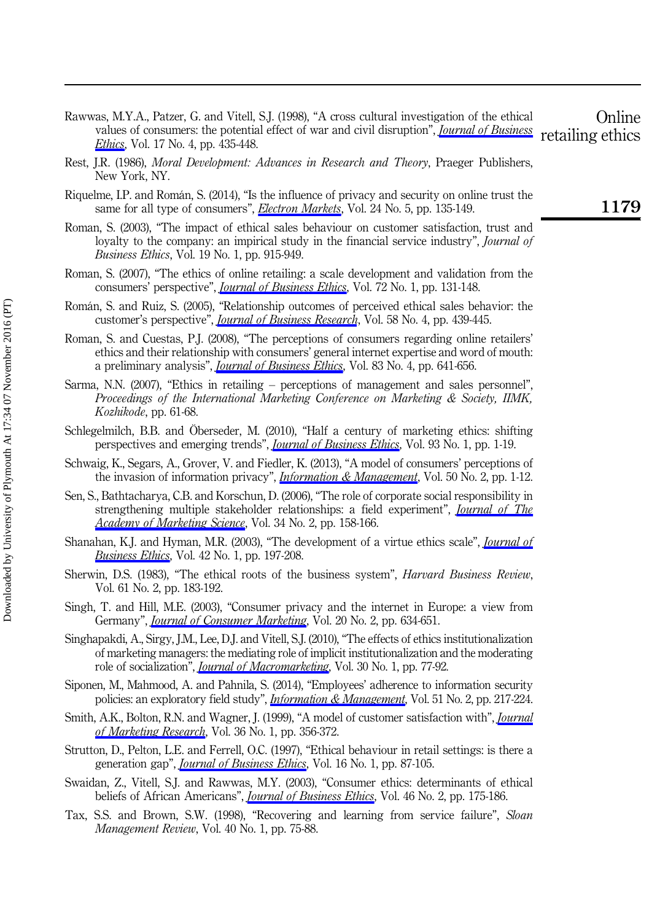- Rawwas, M.Y.A., Patzer, G. and Vitell, S.J. (1998), "A cross cultural investigation of the ethical values of consumers: the potential effect of war and civil disruption", *[Journal of Business](http://www.emeraldinsight.com/action/showLinks?crossref=10.1023%2FA%3A1005788421138&isi=000072343500008) [Ethics](http://www.emeraldinsight.com/action/showLinks?crossref=10.1023%2FA%3A1005788421138&isi=000072343500008)*, Vol. 17 No. 4, pp. 435-448. **Online** retailing ethics
- Rest, J.R. (1986), Moral Development: Advances in Research and Theory, Praeger Publishers, New York, NY.
- Riquelme, I.P. and Román, S. (2014), "Is the influence of privacy and security on online trust the same for all type of consumers", **[Electron Markets](http://www.emeraldinsight.com/action/showLinks?crossref=10.1007%2Fs12525-013-0145-3)**, Vol. 24 No. 5, pp. 135-149.
- Roman, S. (2003), "The impact of ethical sales behaviour on customer satisfaction, trust and loyalty to the company: an impirical study in the financial service industry", *Journal of* Business Ethics, Vol. 19 No. 1, pp. 915-949.
- Roman, S. (2007), "The ethics of online retailing: a scale development and validation from the consumers' perspective", *[Journal of Business Ethics](http://www.emeraldinsight.com/action/showLinks?crossref=10.1007%2Fs10551-006-9161-y)*, Vol. 72 No. 1, pp. 131-148.
- Román, S. and Ruiz, S. (2005), "Relationship outcomes of perceived ethical sales behavior: the customer's perspective", *[Journal of Business Research](http://www.emeraldinsight.com/action/showLinks?crossref=10.1016%2Fj.jbusres.2003.07.002&isi=000227737000006)*, Vol. 58 No. 4, pp. 439-445.
- Roman, S. and Cuestas, P.J. (2008), "The perceptions of consumers regarding online retailers' ethics and their relationship with consumers' general internet expertise and word of mouth: a preliminary analysis", *[Journal of Business Ethics](http://www.emeraldinsight.com/action/showLinks?crossref=10.1007%2Fs10551-007-9645-4&isi=000260617500004)*, Vol. 83 No. 4, pp. 641-656.
- Sarma, N.N. (2007), "Ethics in retailing perceptions of management and sales personnel", Proceedings of the International Marketing Conference on Marketing & Society, IIMK, Kozhikode, pp. 61-68.
- Schlegelmilch, B.B. and Öberseder, M. (2010), "Half a century of marketing ethics: shifting perspectives and emerging trends", *[Journal of Business Ethics](http://www.emeraldinsight.com/action/showLinks?crossref=10.1007%2Fs10551-009-0182-1&isi=000275991400001)*, Vol. 93 No. 1, pp. 1-19.
- Schwaig, K., Segars, A., Grover, V. and Fiedler, K. (2013), "A model of consumers' perceptions of the invasion of information privacy", *[Information & Management](http://www.emeraldinsight.com/action/showLinks?crossref=10.1016%2Fj.im.2012.11.002)*, Vol. 50 No. 2, pp. 1-12.
- Sen, S., Bathtacharya, C.B. and Korschun, D. (2006), "The role of corporate social responsibility in strengthening multiple stakeholder relationships: a field experiment", *[Journal of The](http://www.emeraldinsight.com/action/showLinks?crossref=10.1177%2F0092070305284978&isi=000237112100008)* [Academy of Marketing Science](http://www.emeraldinsight.com/action/showLinks?crossref=10.1177%2F0092070305284978&isi=000237112100008), Vol. 34 No. 2, pp. 158-166.
- Shanahan, K.J. and Hyman, M.R. (2003), "The development of a virtue ethics scale", *[Journal of](http://www.emeraldinsight.com/action/showLinks?crossref=10.1023%2FA%3A1021914218659) [Business Ethics](http://www.emeraldinsight.com/action/showLinks?crossref=10.1023%2FA%3A1021914218659)*, Vol. 42 No. 1, pp. 197-208.
- Sherwin, D.S. (1983), "The ethical roots of the business system", *Harvard Business Review*, Vol. 61 No. 2, pp. 183-192.
- Singh, T. and Hill, M.E. (2003), "Consumer privacy and the internet in Europe: a view from Germany", *[Journal of Consumer Marketing](http://www.emeraldinsight.com/action/showLinks?system=10.1108%2F07363760310506175)*, Vol. 20 No. 2, pp. 634-651.
- Singhapakdi, A., Sirgy, J.M., Lee, D.J. and Vitell, S.J. (2010), "The effects of ethics institutionalization of marketing managers: the mediating role of implicit institutionalization and the moderating role of socialization", *[Journal of Macromarketing](http://www.emeraldinsight.com/action/showLinks?crossref=10.1177%2F0276146709352216&isi=000282467800007)*, Vol. 30 No. 1, pp. 77-92.
- Siponen, M., Mahmood, A. and Pahnila, S. (2014), "Employees' adherence to information security policies: an exploratory field study", *[Information & Management](http://www.emeraldinsight.com/action/showLinks?crossref=10.1016%2Fj.im.2013.08.006&isi=000333730300004)*, Vol. 51 No. 2, pp. 217-224.
- Smith, A.K., Bolton, R.N. and Wagner, J. (1999), "A model of customer satisfaction with", *[Journal](http://www.emeraldinsight.com/action/showLinks?crossref=10.2307%2F3152082&isi=000081965400005)* [of Marketing Research](http://www.emeraldinsight.com/action/showLinks?crossref=10.2307%2F3152082&isi=000081965400005), Vol. 36 No. 1, pp. 356-372.
- Strutton, D., Pelton, L.E. and Ferrell, O.C. (1997), "Ethical behaviour in retail settings: is there a generation gap", [Journal of Business Ethics](http://www.emeraldinsight.com/action/showLinks?crossref=10.1023%2FA%3A1017991525118&isi=A1997WJ08100010), Vol. 16 No. 1, pp. 87-105.
- Swaidan, Z., Vitell, S.J. and Rawwas, M.Y. (2003), "Consumer ethics: determinants of ethical beliefs of African Americans", *[Journal of Business Ethics](http://www.emeraldinsight.com/action/showLinks?crossref=10.1023%2FA%3A1025068902771&isi=000184507900007)*, Vol. 46 No. 2, pp. 175-186.
- Tax, S.S. and Brown, S.W. (1998), "Recovering and learning from service failure", Sloan Management Review, Vol. 40 No. 1, pp. 75-88.